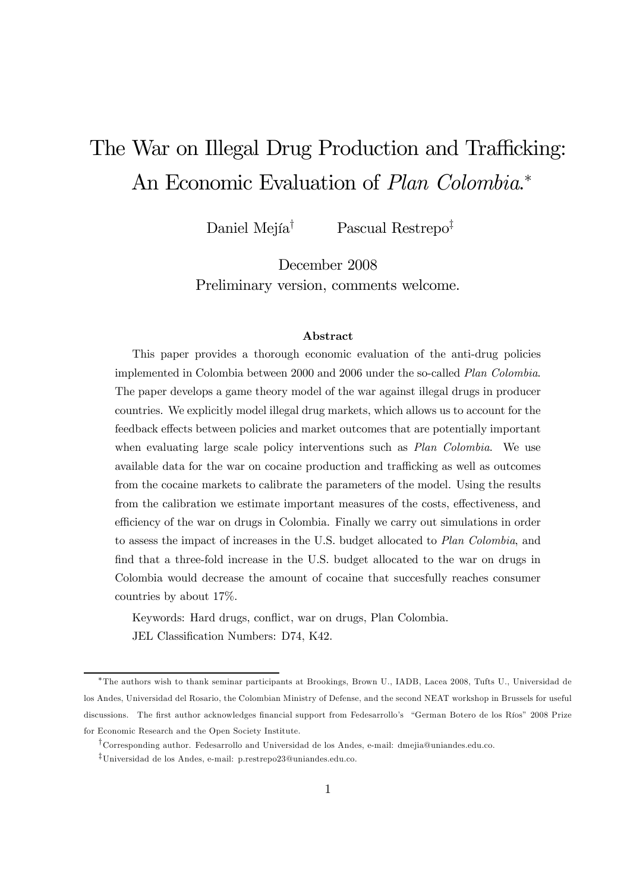# The War on Illegal Drug Production and Trafficking: An Economic Evaluation of *Plan Colombia*.<sup>\*</sup>

Daniel Mejía† Pascual Restrepo‡

December 2008 Preliminary version, comments welcome.

#### Abstract

This paper provides a thorough economic evaluation of the anti-drug policies implemented in Colombia between 2000 and 2006 under the so-called Plan Colombia. The paper develops a game theory model of the war against illegal drugs in producer countries. We explicitly model illegal drug markets, which allows us to account for the feedback effects between policies and market outcomes that are potentially important when evaluating large scale policy interventions such as *Plan Colombia*. We use available data for the war on cocaine production and trafficking as well as outcomes from the cocaine markets to calibrate the parameters of the model. Using the results from the calibration we estimate important measures of the costs, effectiveness, and efficiency of the war on drugs in Colombia. Finally we carry out simulations in order to assess the impact of increases in the U.S. budget allocated to Plan Colombia, and find that a three-fold increase in the U.S. budget allocated to the war on drugs in Colombia would decrease the amount of cocaine that succesfully reaches consumer countries by about 17%.

Keywords: Hard drugs, conflict, war on drugs, Plan Colombia. JEL Classification Numbers: D74, K42.

<sup>∗</sup>The authors wish to thank seminar participants at Brookings, Brown U., IADB, Lacea 2008, Tufts U., Universidad de los Andes, Universidad del Rosario, the Colombian Ministry of Defense, and the second NEAT workshop in Brussels for useful discussions. The first author acknowledges financial support from Fedesarrollo's "German Botero de los Ríos" 2008 Prize for Economic Research and the Open Society Institute.

<sup>†</sup>Corresponding author. Fedesarrollo and Universidad de los Andes, e-mail: dmejia@uniandes.edu.co.

<sup>‡</sup>Universidad de los Andes, e-mail: p.restrepo23@uniandes.edu.co.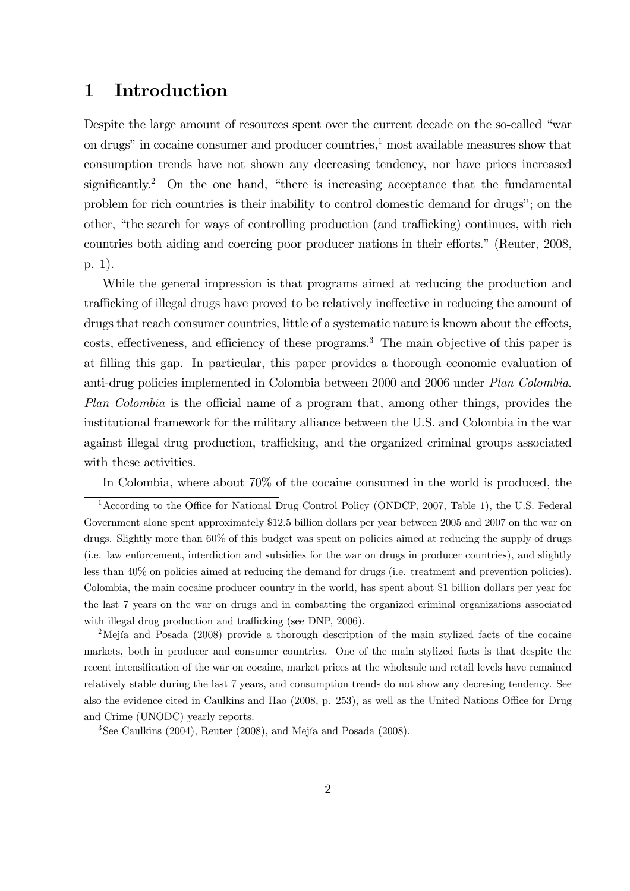# 1 Introduction

Despite the large amount of resources spent over the current decade on the so-called "war on drugs" in cocaine consumer and producer countries, $\frac{1}{2}$  most available measures show that consumption trends have not shown any decreasing tendency, nor have prices increased significantly.<sup>2</sup> On the one hand, "there is increasing acceptance that the fundamental problem for rich countries is their inability to control domestic demand for drugs"; on the other, "the search for ways of controlling production (and trafficking) continues, with rich countries both aiding and coercing poor producer nations in their efforts." (Reuter, 2008, p. 1).

While the general impression is that programs aimed at reducing the production and trafficking of illegal drugs have proved to be relatively ineffective in reducing the amount of drugs that reach consumer countries, little of a systematic nature is known about the effects, costs, effectiveness, and efficiency of these programs.3 The main objective of this paper is at filling this gap. In particular, this paper provides a thorough economic evaluation of anti-drug policies implemented in Colombia between 2000 and 2006 under Plan Colombia. Plan Colombia is the official name of a program that, among other things, provides the institutional framework for the military alliance between the U.S. and Colombia in the war against illegal drug production, trafficking, and the organized criminal groups associated with these activities.

In Colombia, where about 70% of the cocaine consumed in the world is produced, the

<sup>&</sup>lt;sup>1</sup> According to the Office for National Drug Control Policy (ONDCP, 2007, Table 1), the U.S. Federal Government alone spent approximately \$12.5 billion dollars per year between 2005 and 2007 on the war on drugs. Slightly more than 60% of this budget was spent on policies aimed at reducing the supply of drugs (i.e. law enforcement, interdiction and subsidies for the war on drugs in producer countries), and slightly less than 40% on policies aimed at reducing the demand for drugs (i.e. treatment and prevention policies). Colombia, the main cocaine producer country in the world, has spent about \$1 billion dollars per year for the last 7 years on the war on drugs and in combatting the organized criminal organizations associated with illegal drug production and trafficking (see DNP, 2006).

<sup>&</sup>lt;sup>2</sup>Mejía and Posada (2008) provide a thorough description of the main stylized facts of the cocaine markets, both in producer and consumer countries. One of the main stylized facts is that despite the recent intensification of the war on cocaine, market prices at the wholesale and retail levels have remained relatively stable during the last 7 years, and consumption trends do not show any decresing tendency. See also the evidence cited in Caulkins and Hao (2008, p. 253), as well as the United Nations Office for Drug and Crime (UNODC) yearly reports.

<sup>3</sup>See Caulkins (2004), Reuter (2008), and Mejía and Posada (2008).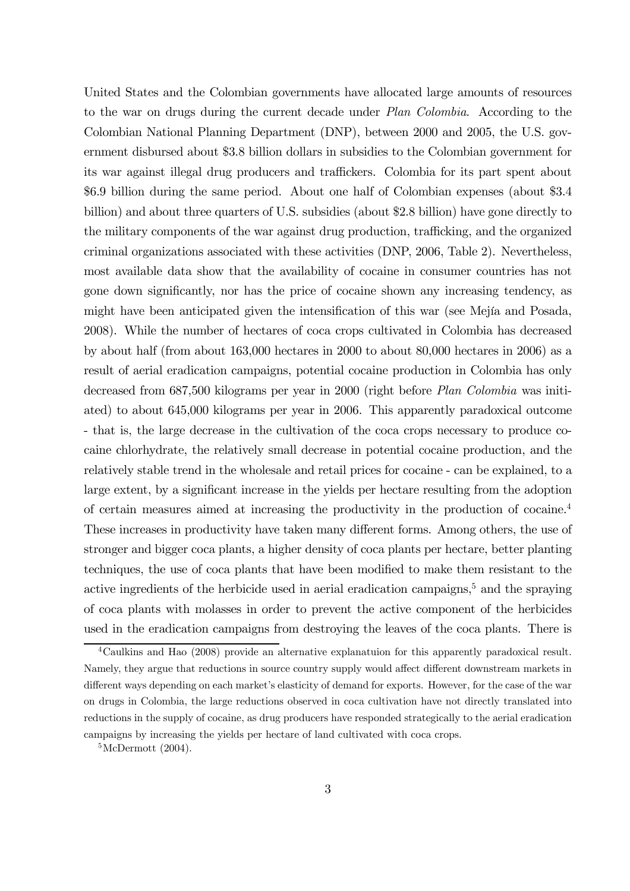United States and the Colombian governments have allocated large amounts of resources to the war on drugs during the current decade under Plan Colombia. According to the Colombian National Planning Department (DNP), between 2000 and 2005, the U.S. government disbursed about \$3.8 billion dollars in subsidies to the Colombian government for its war against illegal drug producers and traffickers. Colombia for its part spent about \$6.9 billion during the same period. About one half of Colombian expenses (about \$3.4 billion) and about three quarters of U.S. subsidies (about \$2.8 billion) have gone directly to the military components of the war against drug production, trafficking, and the organized criminal organizations associated with these activities (DNP, 2006, Table 2). Nevertheless, most available data show that the availability of cocaine in consumer countries has not gone down significantly, nor has the price of cocaine shown any increasing tendency, as might have been anticipated given the intensification of this war (see Mejía and Posada, 2008). While the number of hectares of coca crops cultivated in Colombia has decreased by about half (from about 163,000 hectares in 2000 to about 80,000 hectares in 2006) as a result of aerial eradication campaigns, potential cocaine production in Colombia has only decreased from 687,500 kilograms per year in 2000 (right before Plan Colombia was initiated) to about 645,000 kilograms per year in 2006. This apparently paradoxical outcome - that is, the large decrease in the cultivation of the coca crops necessary to produce cocaine chlorhydrate, the relatively small decrease in potential cocaine production, and the relatively stable trend in the wholesale and retail prices for cocaine - can be explained, to a large extent, by a significant increase in the yields per hectare resulting from the adoption of certain measures aimed at increasing the productivity in the production of cocaine.4 These increases in productivity have taken many different forms. Among others, the use of stronger and bigger coca plants, a higher density of coca plants per hectare, better planting techniques, the use of coca plants that have been modified to make them resistant to the active ingredients of the herbicide used in aerial eradication campaigns,<sup>5</sup> and the spraying of coca plants with molasses in order to prevent the active component of the herbicides used in the eradication campaigns from destroying the leaves of the coca plants. There is

<sup>4</sup>Caulkins and Hao (2008) provide an alternative explanatuion for this apparently paradoxical result. Namely, they argue that reductions in source country supply would affect different downstream markets in different ways depending on each market's elasticity of demand for exports. However, for the case of the war on drugs in Colombia, the large reductions observed in coca cultivation have not directly translated into reductions in the supply of cocaine, as drug producers have responded strategically to the aerial eradication campaigns by increasing the yields per hectare of land cultivated with coca crops.

 ${}^5$ McDermott  $(2004)$ .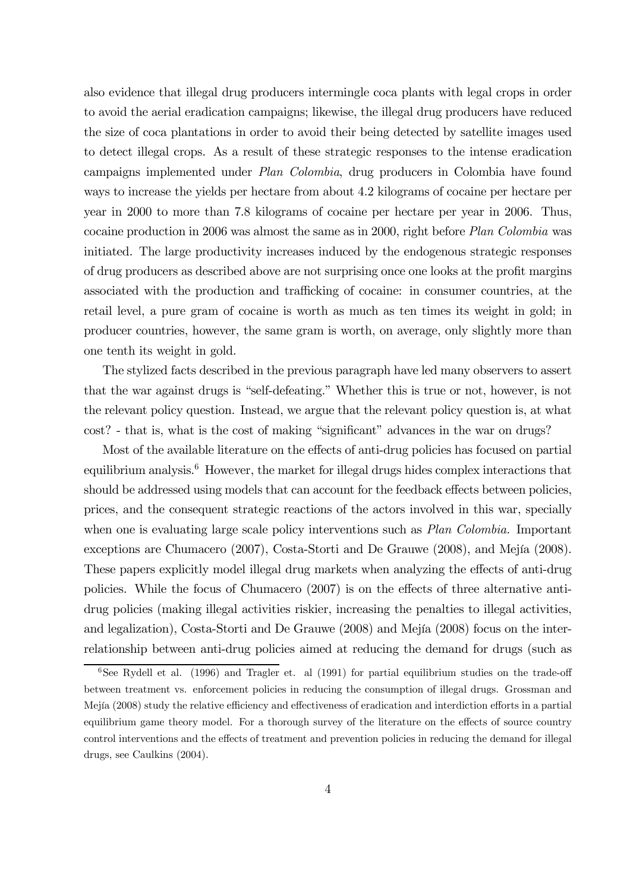also evidence that illegal drug producers intermingle coca plants with legal crops in order to avoid the aerial eradication campaigns; likewise, the illegal drug producers have reduced the size of coca plantations in order to avoid their being detected by satellite images used to detect illegal crops. As a result of these strategic responses to the intense eradication campaigns implemented under Plan Colombia, drug producers in Colombia have found ways to increase the yields per hectare from about 4.2 kilograms of cocaine per hectare per year in 2000 to more than 7.8 kilograms of cocaine per hectare per year in 2006. Thus, cocaine production in 2006 was almost the same as in 2000, right before Plan Colombia was initiated. The large productivity increases induced by the endogenous strategic responses of drug producers as described above are not surprising once one looks at the profit margins associated with the production and trafficking of cocaine: in consumer countries, at the retail level, a pure gram of cocaine is worth as much as ten times its weight in gold; in producer countries, however, the same gram is worth, on average, only slightly more than one tenth its weight in gold.

The stylized facts described in the previous paragraph have led many observers to assert that the war against drugs is "self-defeating." Whether this is true or not, however, is not the relevant policy question. Instead, we argue that the relevant policy question is, at what cost? - that is, what is the cost of making "significant" advances in the war on drugs?

Most of the available literature on the effects of anti-drug policies has focused on partial equilibrium analysis.<sup>6</sup> However, the market for illegal drugs hides complex interactions that should be addressed using models that can account for the feedback effects between policies, prices, and the consequent strategic reactions of the actors involved in this war, specially when one is evaluating large scale policy interventions such as *Plan Colombia*. Important exceptions are Chumacero (2007), Costa-Storti and De Grauwe (2008), and Mejía (2008). These papers explicitly model illegal drug markets when analyzing the effects of anti-drug policies. While the focus of Chumacero (2007) is on the effects of three alternative antidrug policies (making illegal activities riskier, increasing the penalties to illegal activities, and legalization), Costa-Storti and De Grauwe (2008) and Mejía (2008) focus on the interrelationship between anti-drug policies aimed at reducing the demand for drugs (such as

<sup>&</sup>lt;sup>6</sup>See Rydell et al. (1996) and Tragler et. al (1991) for partial equilibrium studies on the trade-off between treatment vs. enforcement policies in reducing the consumption of illegal drugs. Grossman and Mejía (2008) study the relative efficiency and effectiveness of eradication and interdiction efforts in a partial equilibrium game theory model. For a thorough survey of the literature on the effects of source country control interventions and the effects of treatment and prevention policies in reducing the demand for illegal drugs, see Caulkins (2004).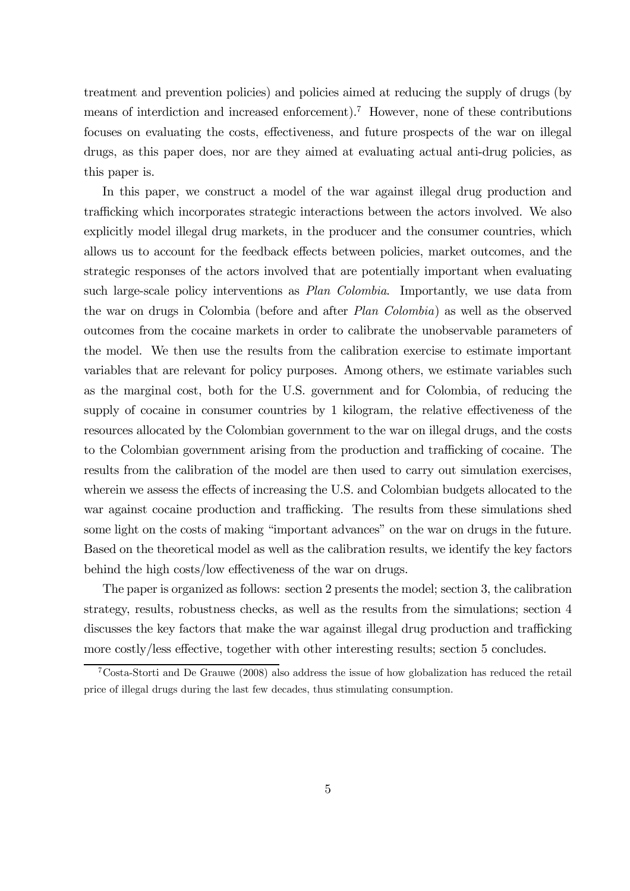treatment and prevention policies) and policies aimed at reducing the supply of drugs (by means of interdiction and increased enforcement).7 However, none of these contributions focuses on evaluating the costs, effectiveness, and future prospects of the war on illegal drugs, as this paper does, nor are they aimed at evaluating actual anti-drug policies, as this paper is.

In this paper, we construct a model of the war against illegal drug production and trafficking which incorporates strategic interactions between the actors involved. We also explicitly model illegal drug markets, in the producer and the consumer countries, which allows us to account for the feedback effects between policies, market outcomes, and the strategic responses of the actors involved that are potentially important when evaluating such large-scale policy interventions as *Plan Colombia*. Importantly, we use data from the war on drugs in Colombia (before and after Plan Colombia) as well as the observed outcomes from the cocaine markets in order to calibrate the unobservable parameters of the model. We then use the results from the calibration exercise to estimate important variables that are relevant for policy purposes. Among others, we estimate variables such as the marginal cost, both for the U.S. government and for Colombia, of reducing the supply of cocaine in consumer countries by 1 kilogram, the relative effectiveness of the resources allocated by the Colombian government to the war on illegal drugs, and the costs to the Colombian government arising from the production and trafficking of cocaine. The results from the calibration of the model are then used to carry out simulation exercises, wherein we assess the effects of increasing the U.S. and Colombian budgets allocated to the war against cocaine production and trafficking. The results from these simulations shed some light on the costs of making "important advances" on the war on drugs in the future. Based on the theoretical model as well as the calibration results, we identify the key factors behind the high costs/low effectiveness of the war on drugs.

The paper is organized as follows: section 2 presents the model; section 3, the calibration strategy, results, robustness checks, as well as the results from the simulations; section 4 discusses the key factors that make the war against illegal drug production and trafficking more costly/less effective, together with other interesting results; section 5 concludes.

<sup>7</sup>Costa-Storti and De Grauwe (2008) also address the issue of how globalization has reduced the retail price of illegal drugs during the last few decades, thus stimulating consumption.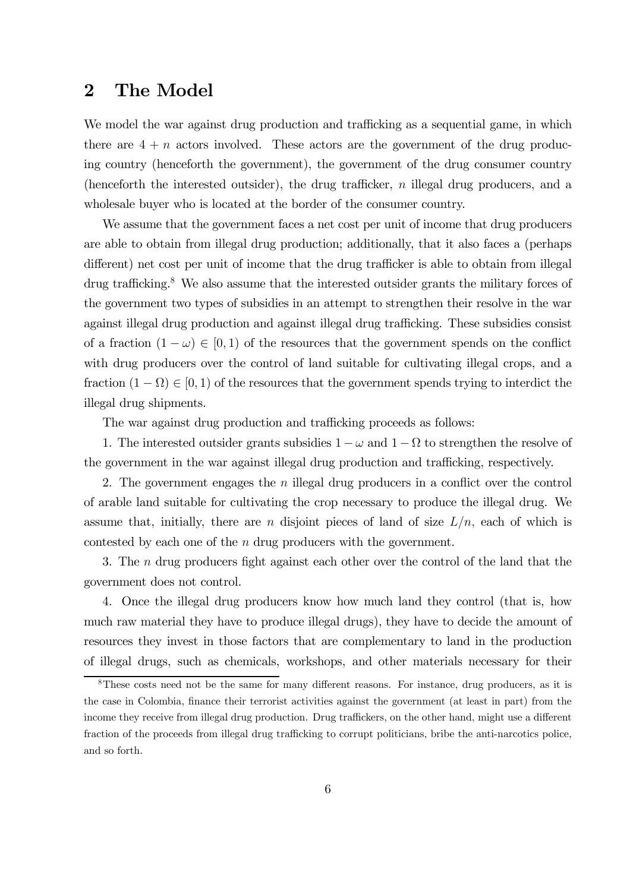# 2 The Model

We model the war against drug production and trafficking as a sequential game, in which there are  $4 + n$  actors involved. These actors are the government of the drug producing country (henceforth the government), the government of the drug consumer country (henceforth the interested outsider), the drug trafficker, n illegal drug producers, and a wholesale buyer who is located at the border of the consumer country.

We assume that the government faces a net cost per unit of income that drug producers are able to obtain from illegal drug production; additionally, that it also faces a (perhaps different) net cost per unit of income that the drug trafficker is able to obtain from illegal drug trafficking.<sup>8</sup> We also assume that the interested outsider grants the military forces of the government two types of subsidies in an attempt to strengthen their resolve in the war against illegal drug production and against illegal drug trafficking. These subsidies consist of a fraction  $(1 - \omega) \in [0, 1)$  of the resources that the government spends on the conflict with drug producers over the control of land suitable for cultivating illegal crops, and a fraction  $(1 - \Omega) \in [0, 1)$  of the resources that the government spends trying to interdict the illegal drug shipments.

The war against drug production and trafficking proceeds as follows:

1. The interested outsider grants subsidies  $1 - \omega$  and  $1 - \Omega$  to strengthen the resolve of the government in the war against illegal drug production and trafficking, respectively.

2. The government engages the n illegal drug producers in a conflict over the control of arable land suitable for cultivating the crop necessary to produce the illegal drug. We assume that, initially, there are n disjoint pieces of land of size  $L/n$ , each of which is contested by each one of the  $n$  drug producers with the government.

3. The n drug producers fight against each other over the control of the land that the government does not control.

4. Once the illegal drug producers know how much land they control (that is, how much raw material they have to produce illegal drugs), they have to decide the amount of resources they invest in those factors that are complementary to land in the production of illegal drugs, such as chemicals, workshops, and other materials necessary for their

<sup>&</sup>lt;sup>8</sup>These costs need not be the same for many different reasons. For instance, drug producers, as it is the case in Colombia, finance their terrorist activities against the government (at least in part) from the income they receive from illegal drug production. Drug traffickers, on the other hand, might use a different fraction of the proceeds from illegal drug trafficking to corrupt politicians, bribe the anti-narcotics police, and so forth.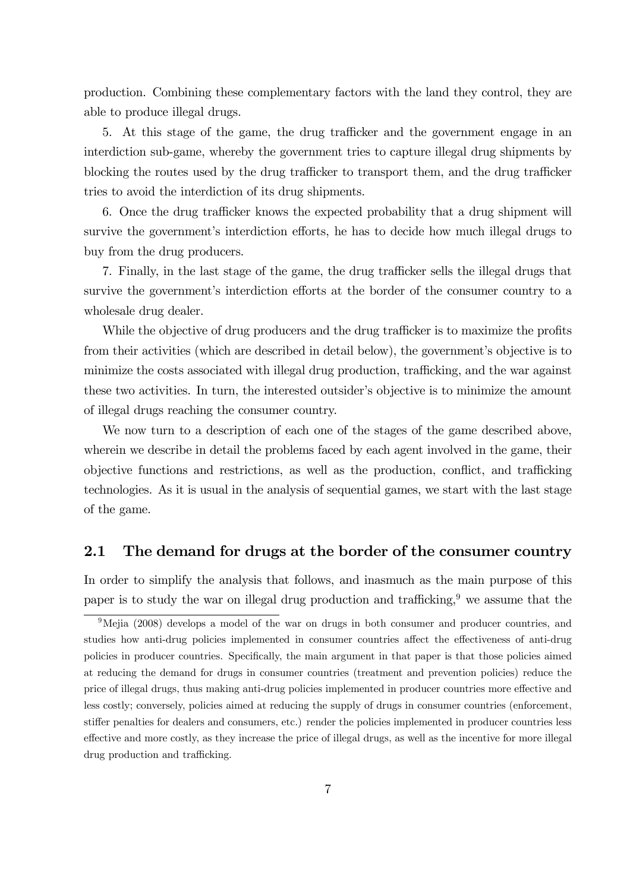production. Combining these complementary factors with the land they control, they are able to produce illegal drugs.

5. At this stage of the game, the drug trafficker and the government engage in an interdiction sub-game, whereby the government tries to capture illegal drug shipments by blocking the routes used by the drug trafficker to transport them, and the drug trafficker tries to avoid the interdiction of its drug shipments.

6. Once the drug trafficker knows the expected probability that a drug shipment will survive the government's interdiction efforts, he has to decide how much illegal drugs to buy from the drug producers.

7. Finally, in the last stage of the game, the drug trafficker sells the illegal drugs that survive the government's interdiction efforts at the border of the consumer country to a wholesale drug dealer.

While the objective of drug producers and the drug trafficker is to maximize the profits from their activities (which are described in detail below), the government's objective is to minimize the costs associated with illegal drug production, trafficking, and the war against these two activities. In turn, the interested outsider's objective is to minimize the amount of illegal drugs reaching the consumer country.

We now turn to a description of each one of the stages of the game described above, wherein we describe in detail the problems faced by each agent involved in the game, their objective functions and restrictions, as well as the production, conflict, and trafficking technologies. As it is usual in the analysis of sequential games, we start with the last stage of the game.

### 2.1 The demand for drugs at the border of the consumer country

In order to simplify the analysis that follows, and inasmuch as the main purpose of this paper is to study the war on illegal drug production and trafficking.<sup>9</sup> we assume that the

 $9$ Mejia (2008) develops a model of the war on drugs in both consumer and producer countries, and studies how anti-drug policies implemented in consumer countries affect the effectiveness of anti-drug policies in producer countries. Specifically, the main argument in that paper is that those policies aimed at reducing the demand for drugs in consumer countries (treatment and prevention policies) reduce the price of illegal drugs, thus making anti-drug policies implemented in producer countries more effective and less costly; conversely, policies aimed at reducing the supply of drugs in consumer countries (enforcement, stiffer penalties for dealers and consumers, etc.) render the policies implemented in producer countries less effective and more costly, as they increase the price of illegal drugs, as well as the incentive for more illegal drug production and trafficking.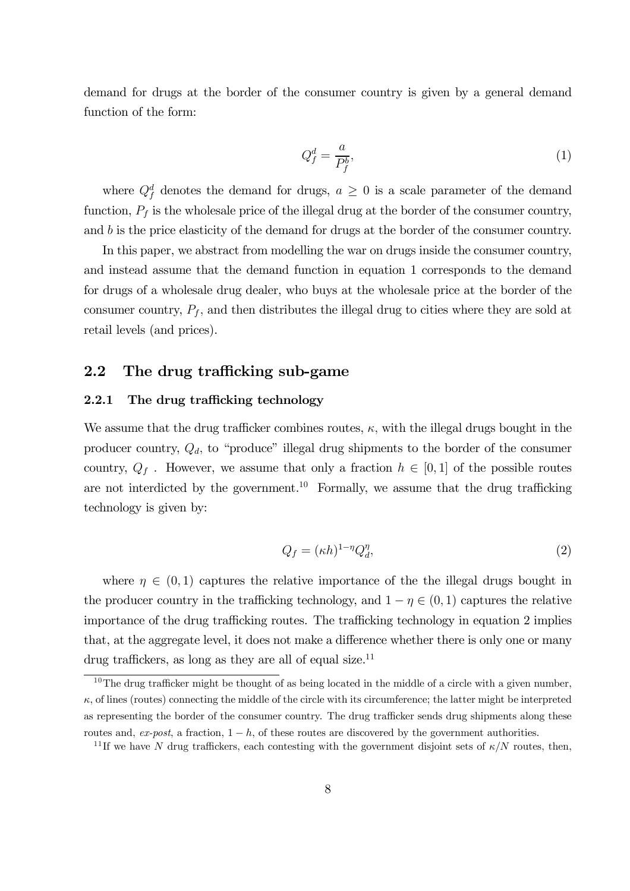demand for drugs at the border of the consumer country is given by a general demand function of the form:

$$
Q_f^d = \frac{a}{P_f^b},\tag{1}
$$

where  $Q_f^d$  denotes the demand for drugs,  $a \geq 0$  is a scale parameter of the demand function,  $P_f$  is the wholesale price of the illegal drug at the border of the consumer country, and  $b$  is the price elasticity of the demand for drugs at the border of the consumer country.

In this paper, we abstract from modelling the war on drugs inside the consumer country, and instead assume that the demand function in equation 1 corresponds to the demand for drugs of a wholesale drug dealer, who buys at the wholesale price at the border of the consumer country,  $P_f$ , and then distributes the illegal drug to cities where they are sold at retail levels (and prices).

### 2.2 The drug trafficking sub-game

### 2.2.1 The drug trafficking technology

We assume that the drug trafficker combines routes,  $\kappa$ , with the illegal drugs bought in the producer country,  $Q_d$ , to "produce" illegal drug shipments to the border of the consumer country,  $Q_f$ . However, we assume that only a fraction  $h \in [0,1]$  of the possible routes are not interdicted by the government.<sup>10</sup> Formally, we assume that the drug trafficking technology is given by:

$$
Q_f = (\kappa h)^{1 - \eta} Q_d^{\eta},\tag{2}
$$

where  $\eta \in (0,1)$  captures the relative importance of the the illegal drugs bought in the producer country in the trafficking technology, and  $1 - \eta \in (0, 1)$  captures the relative importance of the drug trafficking routes. The trafficking technology in equation 2 implies that, at the aggregate level, it does not make a difference whether there is only one or many drug traffickers, as long as they are all of equal size.<sup>11</sup>

 $10$ The drug trafficker might be thought of as being located in the middle of a circle with a given number,  $\kappa$ , of lines (routes) connecting the middle of the circle with its circumference; the latter might be interpreted as representing the border of the consumer country. The drug trafficker sends drug shipments along these routes and,  $ex\text{-}post$ , a fraction,  $1 - h$ , of these routes are discovered by the government authorities.

<sup>&</sup>lt;sup>11</sup>If we have N drug traffickers, each contesting with the government disjoint sets of  $\kappa/N$  routes, then,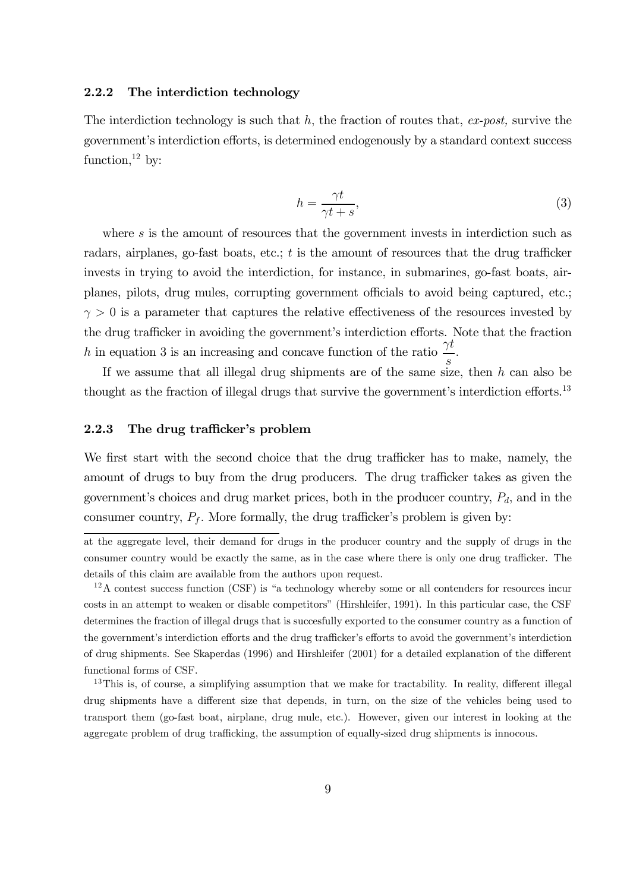#### 2.2.2 The interdiction technology

The interdiction technology is such that  $h$ , the fraction of routes that, ex-post, survive the government's interdiction efforts, is determined endogenously by a standard context success function, $^{12}$  by:

$$
h = \frac{\gamma t}{\gamma t + s},\tag{3}
$$

where s is the amount of resources that the government invests in interdiction such as radars, airplanes, go-fast boats, etc.;  $t$  is the amount of resources that the drug trafficker invests in trying to avoid the interdiction, for instance, in submarines, go-fast boats, airplanes, pilots, drug mules, corrupting government officials to avoid being captured, etc.;  $\gamma > 0$  is a parameter that captures the relative effectiveness of the resources invested by the drug trafficker in avoiding the government's interdiction efforts. Note that the fraction h in equation 3 is an increasing and concave function of the ratio  $\frac{\gamma t}{\gamma}$  $\frac{1}{s}$ .

If we assume that all illegal drug shipments are of the same size, then  $h$  can also be thought as the fraction of illegal drugs that survive the government's interdiction efforts.<sup>13</sup>

### 2.2.3 The drug trafficker's problem

We first start with the second choice that the drug trafficker has to make, namely, the amount of drugs to buy from the drug producers. The drug trafficker takes as given the government's choices and drug market prices, both in the producer country,  $P_d$ , and in the consumer country,  $P_f$ . More formally, the drug trafficker's problem is given by:

at the aggregate level, their demand for drugs in the producer country and the supply of drugs in the consumer country would be exactly the same, as in the case where there is only one drug trafficker. The details of this claim are available from the authors upon request.

 $12A$  contest success function (CSF) is "a technology whereby some or all contenders for resources incur costs in an attempt to weaken or disable competitors" (Hirshleifer, 1991). In this particular case, the CSF determines the fraction of illegal drugs that is succesfully exported to the consumer country as a function of the government's interdiction efforts and the drug trafficker's efforts to avoid the government's interdiction of drug shipments. See Skaperdas (1996) and Hirshleifer (2001) for a detailed explanation of the different functional forms of CSF.

<sup>&</sup>lt;sup>13</sup>This is, of course, a simplifying assumption that we make for tractability. In reality, different illegal drug shipments have a different size that depends, in turn, on the size of the vehicles being used to transport them (go-fast boat, airplane, drug mule, etc.). However, given our interest in looking at the aggregate problem of drug trafficking, the assumption of equally-sized drug shipments is innocous.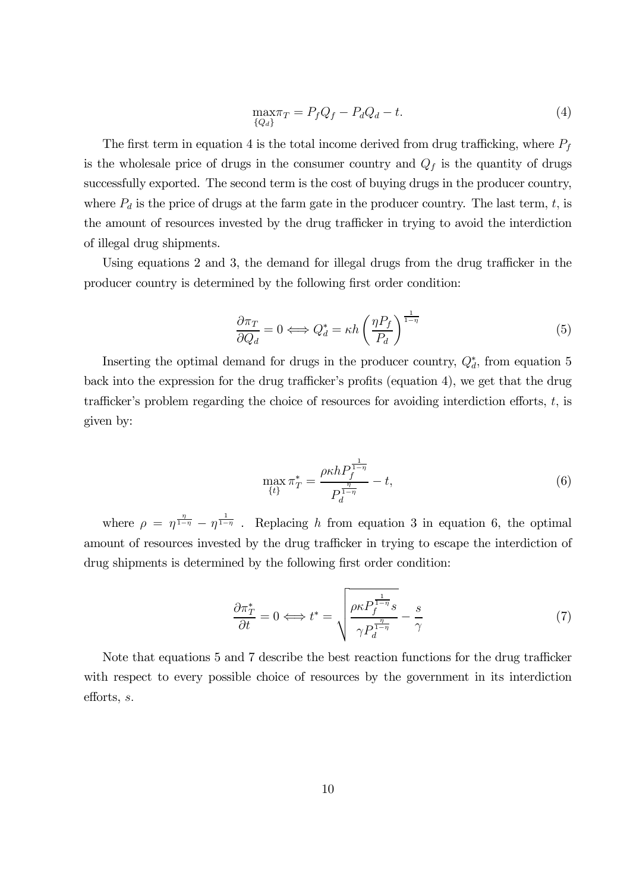$$
\max_{\{Q_d\}} \pi = P_f Q_f - P_d Q_d - t. \tag{4}
$$

The first term in equation 4 is the total income derived from drug trafficking, where  $P_f$ is the wholesale price of drugs in the consumer country and  $Q_f$  is the quantity of drugs successfully exported. The second term is the cost of buying drugs in the producer country, where  $P_d$  is the price of drugs at the farm gate in the producer country. The last term, t, is the amount of resources invested by the drug trafficker in trying to avoid the interdiction of illegal drug shipments.

Using equations 2 and 3, the demand for illegal drugs from the drug trafficker in the producer country is determined by the following first order condition:

$$
\frac{\partial \pi_T}{\partial Q_d} = 0 \Longleftrightarrow Q_d^* = \kappa h \left(\frac{\eta P_f}{P_d}\right)^{\frac{1}{1-\eta}}
$$
(5)

Inserting the optimal demand for drugs in the producer country,  $Q_d^*$ , from equation 5 back into the expression for the drug trafficker's profits (equation 4), we get that the drug trafficker's problem regarding the choice of resources for avoiding interdiction efforts,  $t$ , is given by:

$$
\max_{\{t\}} \pi_T^* = \frac{\rho \kappa h P_f^{\frac{1}{1-\eta}}}{P_d^{\frac{\eta}{1-\eta}}} - t,\tag{6}
$$

where  $\rho = \eta^{\frac{\eta}{1-\eta}} - \eta^{\frac{1}{1-\eta}}$ . Replacing h from equation 3 in equation 6, the optimal amount of resources invested by the drug trafficker in trying to escape the interdiction of drug shipments is determined by the following first order condition:

$$
\frac{\partial \pi_T^*}{\partial t} = 0 \Longleftrightarrow t^* = \sqrt{\frac{\rho \kappa P_f^{\frac{1}{1-\eta}} s}{\gamma P_d^{\frac{\eta}{1-\eta}}} - \frac{s}{\gamma}}
$$
(7)

Note that equations 5 and 7 describe the best reaction functions for the drug trafficker with respect to every possible choice of resources by the government in its interdiction efforts, s.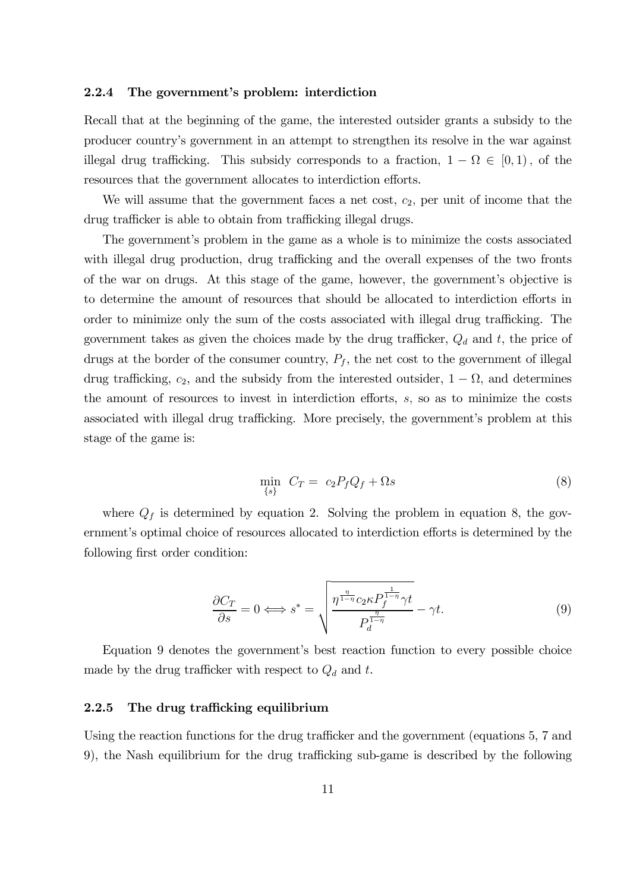#### 2.2.4 The government's problem: interdiction

Recall that at the beginning of the game, the interested outsider grants a subsidy to the producer country's government in an attempt to strengthen its resolve in the war against illegal drug trafficking. This subsidy corresponds to a fraction,  $1 - \Omega \in [0, 1)$ , of the resources that the government allocates to interdiction efforts.

We will assume that the government faces a net cost,  $c_2$ , per unit of income that the drug trafficker is able to obtain from trafficking illegal drugs.

The government's problem in the game as a whole is to minimize the costs associated with illegal drug production, drug trafficking and the overall expenses of the two fronts of the war on drugs. At this stage of the game, however, the government's objective is to determine the amount of resources that should be allocated to interdiction efforts in order to minimize only the sum of the costs associated with illegal drug trafficking. The government takes as given the choices made by the drug trafficker,  $Q_d$  and t, the price of drugs at the border of the consumer country,  $P_f$ , the net cost to the government of illegal drug trafficking,  $c_2$ , and the subsidy from the interested outsider,  $1 - \Omega$ , and determines the amount of resources to invest in interdiction efforts, s, so as to minimize the costs associated with illegal drug trafficking. More precisely, the government's problem at this stage of the game is:

$$
\min_{\{s\}} \ C_T = c_2 P_f Q_f + \Omega s \tag{8}
$$

where  $Q_f$  is determined by equation 2. Solving the problem in equation 8, the government's optimal choice of resources allocated to interdiction efforts is determined by the following first order condition:

$$
\frac{\partial C_T}{\partial s} = 0 \Longleftrightarrow s^* = \sqrt{\frac{\eta^{\frac{\eta}{1-\eta}} c_2 \kappa P_f^{\frac{1}{1-\eta}} \gamma t}{P_d^{\frac{\eta}{1-\eta}}} - \gamma t}.
$$
\n(9)

Equation 9 denotes the government's best reaction function to every possible choice made by the drug trafficker with respect to  $Q_d$  and t.

#### 2.2.5 The drug trafficking equilibrium

Using the reaction functions for the drug trafficker and the government (equations 5, 7 and 9), the Nash equilibrium for the drug trafficking sub-game is described by the following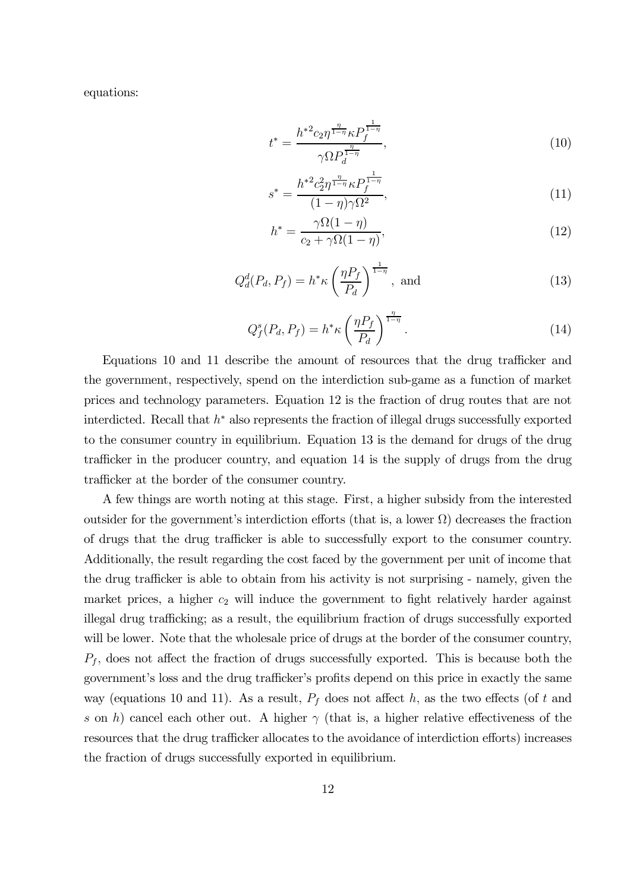equations:

$$
t^* = \frac{h^{*2} c_2 \eta^{\frac{\eta}{1-\eta}} \kappa P_f^{\frac{1}{1-\eta}}}{\gamma \Omega P_d^{\frac{\eta}{1-\eta}}},\tag{10}
$$

$$
s^* = \frac{h^{*2} c_2^2 \eta^{\frac{\eta}{1-\eta}} \kappa P_f^{\frac{1}{1-\eta}}}{(1-\eta)\gamma \Omega^2},\tag{11}
$$

$$
h^* = \frac{\gamma \Omega(1-\eta)}{c_2 + \gamma \Omega(1-\eta)},\tag{12}
$$

$$
Q_d^d(P_d, P_f) = h^* \kappa \left(\frac{\eta P_f}{P_d}\right)^{\frac{1}{1-\eta}}, \text{ and} \qquad (13)
$$

$$
Q_f^s(P_d, P_f) = h^* \kappa \left(\frac{\eta P_f}{P_d}\right)^{\frac{\eta}{1-\eta}}.
$$
\n(14)

Equations 10 and 11 describe the amount of resources that the drug trafficker and the government, respectively, spend on the interdiction sub-game as a function of market prices and technology parameters. Equation 12 is the fraction of drug routes that are not interdicted. Recall that h<sup>∗</sup> also represents the fraction of illegal drugs successfully exported to the consumer country in equilibrium. Equation 13 is the demand for drugs of the drug trafficker in the producer country, and equation 14 is the supply of drugs from the drug trafficker at the border of the consumer country.

A few things are worth noting at this stage. First, a higher subsidy from the interested outsider for the government's interdiction efforts (that is, a lower  $\Omega$ ) decreases the fraction of drugs that the drug trafficker is able to successfully export to the consumer country. Additionally, the result regarding the cost faced by the government per unit of income that the drug trafficker is able to obtain from his activity is not surprising - namely, given the market prices, a higher  $c_2$  will induce the government to fight relatively harder against illegal drug trafficking; as a result, the equilibrium fraction of drugs successfully exported will be lower. Note that the wholesale price of drugs at the border of the consumer country,  $P_f$ , does not affect the fraction of drugs successfully exported. This is because both the government's loss and the drug trafficker's profits depend on this price in exactly the same way (equations 10 and 11). As a result,  $P_f$  does not affect h, as the two effects (of t and s on h) cancel each other out. A higher  $\gamma$  (that is, a higher relative effectiveness of the resources that the drug trafficker allocates to the avoidance of interdiction efforts) increases the fraction of drugs successfully exported in equilibrium.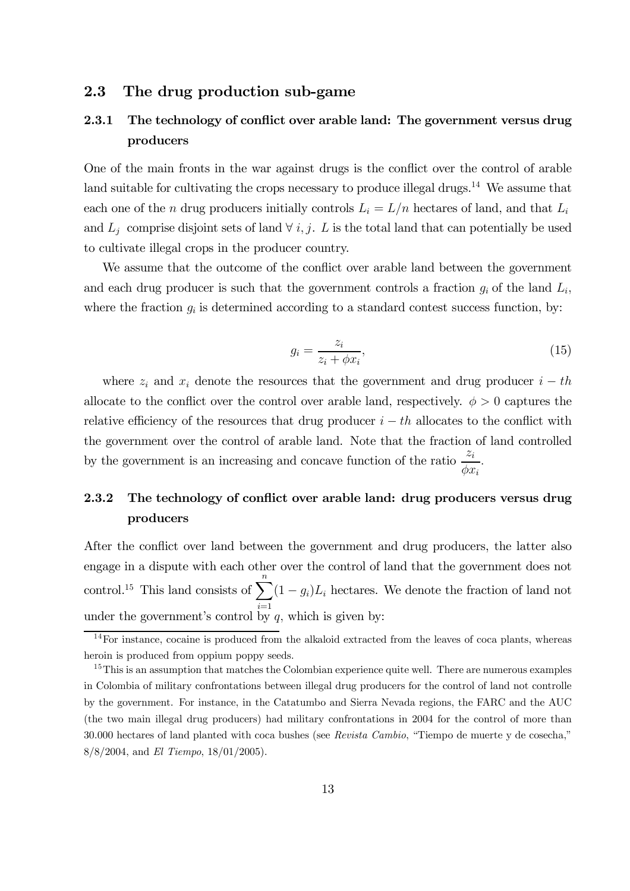### 2.3 The drug production sub-game

### 2.3.1 The technology of conflict over arable land: The government versus drug producers

One of the main fronts in the war against drugs is the conflict over the control of arable land suitable for cultivating the crops necessary to produce illegal drugs.<sup>14</sup> We assume that each one of the n drug producers initially controls  $L_i = L/n$  hectares of land, and that  $L_i$ and  $L_i$  comprise disjoint sets of land  $\forall i, j$ . L is the total land that can potentially be used to cultivate illegal crops in the producer country.

We assume that the outcome of the conflict over arable land between the government and each drug producer is such that the government controls a fraction  $g_i$  of the land  $L_i$ , where the fraction  $g_i$  is determined according to a standard contest success function, by:

$$
g_i = \frac{z_i}{z_i + \phi x_i},\tag{15}
$$

where  $z_i$  and  $x_i$  denote the resources that the government and drug producer  $i - th$ allocate to the conflict over the control over arable land, respectively.  $\phi > 0$  captures the relative efficiency of the resources that drug producer  $i - th$  allocates to the conflict with the government over the control of arable land. Note that the fraction of land controlled by the government is an increasing and concave function of the ratio  $\frac{z_i}{z_i}$  $\phi x_i$ .

### 2.3.2 The technology of conflict over arable land: drug producers versus drug producers

After the conflict over land between the government and drug producers, the latter also engage in a dispute with each other over the control of land that the government does not control.<sup>15</sup> This land consists of  $\sum_{n=1}^{\infty}$  $i=1$  $(1 - g_i)L_i$  hectares. We denote the fraction of land not under the government's control by  $q$ , which is given by:

 $14$  For instance, cocaine is produced from the alkaloid extracted from the leaves of coca plants, whereas heroin is produced from oppium poppy seeds.

<sup>&</sup>lt;sup>15</sup>This is an assumption that matches the Colombian experience quite well. There are numerous examples in Colombia of military confrontations between illegal drug producers for the control of land not controlle by the government. For instance, in the Catatumbo and Sierra Nevada regions, the FARC and the AUC (the two main illegal drug producers) had military confrontations in 2004 for the control of more than 30.000 hectares of land planted with coca bushes (see Revista Cambio, "Tiempo de muerte y de cosecha," 8/8/2004, and El Tiempo, 18/01/2005).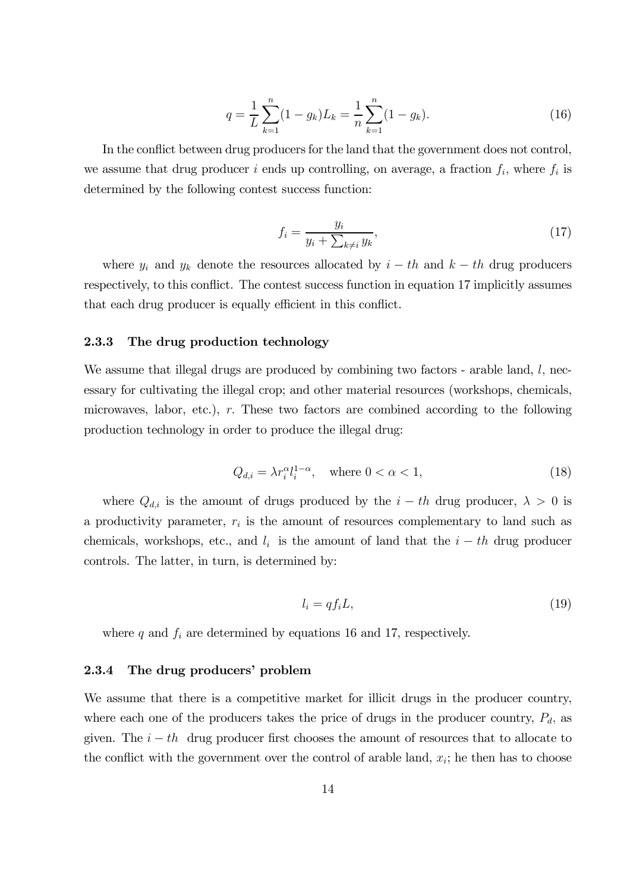$$
q = \frac{1}{L} \sum_{k=1}^{n} (1 - g_k) L_k = \frac{1}{n} \sum_{k=1}^{n} (1 - g_k).
$$
 (16)

In the conflict between drug producers for the land that the government does not control, we assume that drug producer i ends up controlling, on average, a fraction  $f_i$ , where  $f_i$  is determined by the following contest success function:

$$
f_i = \frac{y_i}{y_i + \sum_{k \neq i} y_k},\tag{17}
$$

where  $y_i$  and  $y_k$  denote the resources allocated by  $i - th$  and  $k - th$  drug producers respectively, to this conflict. The contest success function in equation 17 implicitly assumes that each drug producer is equally efficient in this conflict.

### 2.3.3 The drug production technology

We assume that illegal drugs are produced by combining two factors - arable land,  $l$ , necessary for cultivating the illegal crop; and other material resources (workshops, chemicals, microwaves, labor, etc.), r. These two factors are combined according to the following production technology in order to produce the illegal drug:

$$
Q_{d,i} = \lambda r_i^{\alpha} l_i^{1-\alpha}, \quad \text{where } 0 < \alpha < 1,\tag{18}
$$

where  $Q_{d,i}$  is the amount of drugs produced by the  $i - th$  drug producer,  $\lambda > 0$  is a productivity parameter,  $r_i$  is the amount of resources complementary to land such as chemicals, workshops, etc., and  $l_i$  is the amount of land that the  $i - th$  drug producer controls. The latter, in turn, is determined by:

$$
l_i = qf_i L,\tag{19}
$$

where  $q$  and  $f_i$  are determined by equations 16 and 17, respectively.

#### 2.3.4 The drug producers' problem

We assume that there is a competitive market for illicit drugs in the producer country, where each one of the producers takes the price of drugs in the producer country,  $P_d$ , as given. The  $i - th$  drug producer first chooses the amount of resources that to allocate to the conflict with the government over the control of arable land,  $x_i$ ; he then has to choose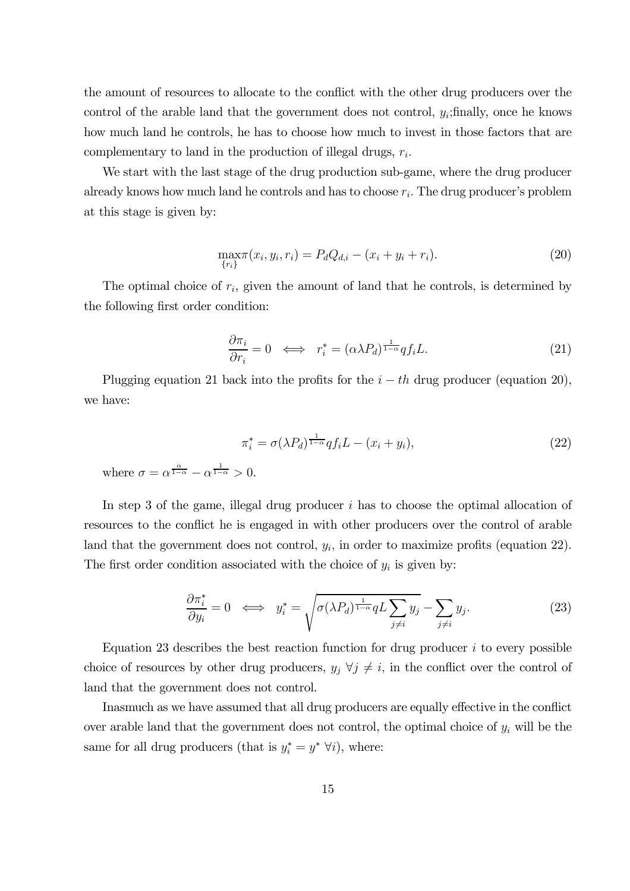the amount of resources to allocate to the conflict with the other drug producers over the control of the arable land that the government does not control,  $y_i$ ; finally, once he knows how much land he controls, he has to choose how much to invest in those factors that are complementary to land in the production of illegal drugs,  $r_i$ .

We start with the last stage of the drug production sub-game, where the drug producer already knows how much land he controls and has to choose  $r_i$ . The drug producer's problem at this stage is given by:

$$
\max_{\{r_i\}} \pi(x_i, y_i, r_i) = P_d Q_{d,i} - (x_i + y_i + r_i). \tag{20}
$$

The optimal choice of  $r_i$ , given the amount of land that he controls, is determined by the following first order condition:

$$
\frac{\partial \pi_i}{\partial r_i} = 0 \iff r_i^* = (\alpha \lambda P_d)^{\frac{1}{1-\alpha}} q f_i L. \tag{21}
$$

Plugging equation 21 back into the profits for the  $i - th$  drug producer (equation 20), we have:

$$
\pi_i^* = \sigma(\lambda P_d)^{\frac{1}{1-\alpha}} q f_i L - (x_i + y_i),\tag{22}
$$

where  $\sigma = \alpha^{\frac{\alpha}{1-\alpha}} - \alpha^{\frac{1}{1-\alpha}} > 0$ .

In step 3 of the game, illegal drug producer  $i$  has to choose the optimal allocation of resources to the conflict he is engaged in with other producers over the control of arable land that the government does not control,  $y_i$ , in order to maximize profits (equation 22). The first order condition associated with the choice of  $y_i$  is given by:

$$
\frac{\partial \pi_i^*}{\partial y_i} = 0 \iff y_i^* = \sqrt{\sigma(\lambda P_d)^{\frac{1}{1-\alpha}} q L \sum_{j \neq i} y_j} - \sum_{j \neq i} y_j.
$$
 (23)

Equation 23 describes the best reaction function for drug producer  $i$  to every possible choice of resources by other drug producers,  $y_j \forall j \neq i$ , in the conflict over the control of land that the government does not control.

Inasmuch as we have assumed that all drug producers are equally effective in the conflict over arable land that the government does not control, the optimal choice of  $y_i$  will be the same for all drug producers (that is  $y_i^* = y^* \,\forall i$ ), where: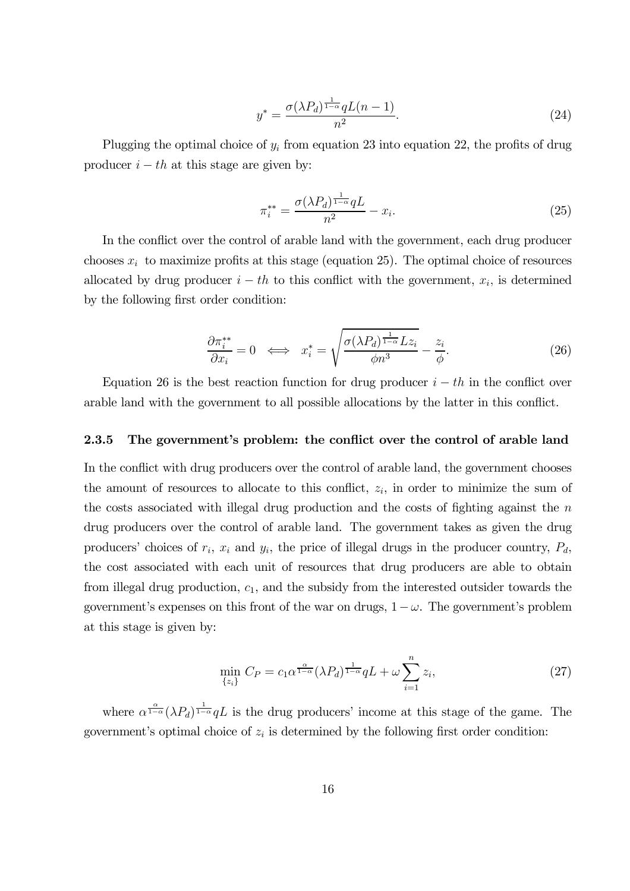$$
y^* = \frac{\sigma(\lambda P_d)^{\frac{1}{1-\alpha}} q L(n-1)}{n^2}.
$$
\n(24)

Plugging the optimal choice of  $y_i$  from equation 23 into equation 22, the profits of drug producer  $i - th$  at this stage are given by:

$$
\pi_i^{**} = \frac{\sigma(\lambda P_d)^{\frac{1}{1-\alpha}} qL}{n^2} - x_i.
$$
\n(25)

In the conflict over the control of arable land with the government, each drug producer chooses  $x_i$  to maximize profits at this stage (equation 25). The optimal choice of resources allocated by drug producer  $i - th$  to this conflict with the government,  $x_i$ , is determined by the following first order condition:

$$
\frac{\partial \pi_i^{**}}{\partial x_i} = 0 \iff x_i^* = \sqrt{\frac{\sigma(\lambda P_d)^{\frac{1}{1-\alpha}} L z_i}{\phi n^3} - \frac{z_i}{\phi}}.
$$
\n(26)

Equation 26 is the best reaction function for drug producer  $i - th$  in the conflict over arable land with the government to all possible allocations by the latter in this conflict.

#### 2.3.5 The government's problem: the conflict over the control of arable land

In the conflict with drug producers over the control of arable land, the government chooses the amount of resources to allocate to this conflict,  $z_i$ , in order to minimize the sum of the costs associated with illegal drug production and the costs of fighting against the  $n$ drug producers over the control of arable land. The government takes as given the drug producers' choices of  $r_i$ ,  $x_i$  and  $y_i$ , the price of illegal drugs in the producer country,  $P_d$ , the cost associated with each unit of resources that drug producers are able to obtain from illegal drug production,  $c_1$ , and the subsidy from the interested outsider towards the government's expenses on this front of the war on drugs,  $1-\omega$ . The government's problem at this stage is given by:

$$
\min_{\{z_i\}} C_P = c_1 \alpha^{\frac{\alpha}{1-\alpha}} (\lambda P_d)^{\frac{1}{1-\alpha}} qL + \omega \sum_{i=1}^n z_i,
$$
\n(27)

where  $\alpha^{\frac{\alpha}{1-\alpha}}(\lambda P_d)^{\frac{1}{1-\alpha}}qL$  is the drug producers' income at this stage of the game. The government's optimal choice of  $z_i$  is determined by the following first order condition: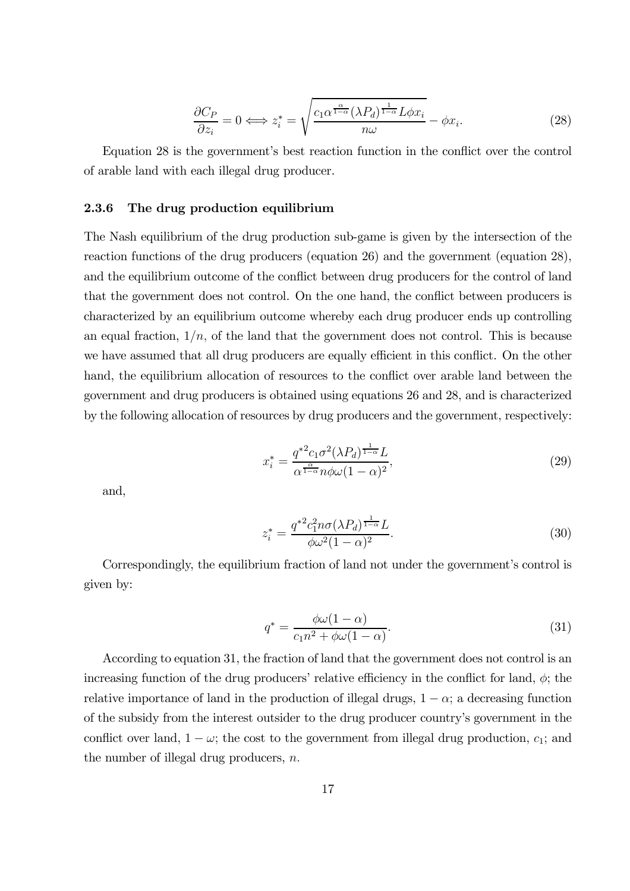$$
\frac{\partial C_P}{\partial z_i} = 0 \Longleftrightarrow z_i^* = \sqrt{\frac{c_1 \alpha^{\frac{\alpha}{1-\alpha}} (\lambda P_d)^{\frac{1}{1-\alpha}} L \phi x_i}{n\omega}} - \phi x_i.
$$
\n(28)

Equation 28 is the government's best reaction function in the conflict over the control of arable land with each illegal drug producer.

#### 2.3.6 The drug production equilibrium

The Nash equilibrium of the drug production sub-game is given by the intersection of the reaction functions of the drug producers (equation 26) and the government (equation 28), and the equilibrium outcome of the conflict between drug producers for the control of land that the government does not control. On the one hand, the conflict between producers is characterized by an equilibrium outcome whereby each drug producer ends up controlling an equal fraction,  $1/n$ , of the land that the government does not control. This is because we have assumed that all drug producers are equally efficient in this conflict. On the other hand, the equilibrium allocation of resources to the conflict over arable land between the government and drug producers is obtained using equations 26 and 28, and is characterized by the following allocation of resources by drug producers and the government, respectively:

$$
x_i^* = \frac{q^{*2}c_1\sigma^2(\lambda P_d)^{\frac{1}{1-\alpha}}L}{\alpha^{\frac{\alpha}{1-\alpha}}n\phi\omega(1-\alpha)^2},\tag{29}
$$

and,

$$
z_i^* = \frac{q^{*2}c_1^2 n\sigma(\lambda P_d)^{\frac{1}{1-\alpha}}L}{\phi\omega^2(1-\alpha)^2}.
$$
\n(30)

Correspondingly, the equilibrium fraction of land not under the government's control is given by:

$$
q^* = \frac{\phi\omega(1-\alpha)}{c_1n^2 + \phi\omega(1-\alpha)}.\tag{31}
$$

According to equation 31, the fraction of land that the government does not control is an increasing function of the drug producers' relative efficiency in the conflict for land,  $\phi$ ; the relative importance of land in the production of illegal drugs,  $1 - \alpha$ ; a decreasing function of the subsidy from the interest outsider to the drug producer country's government in the conflict over land,  $1 - \omega$ ; the cost to the government from illegal drug production,  $c_1$ ; and the number of illegal drug producers,  $n$ .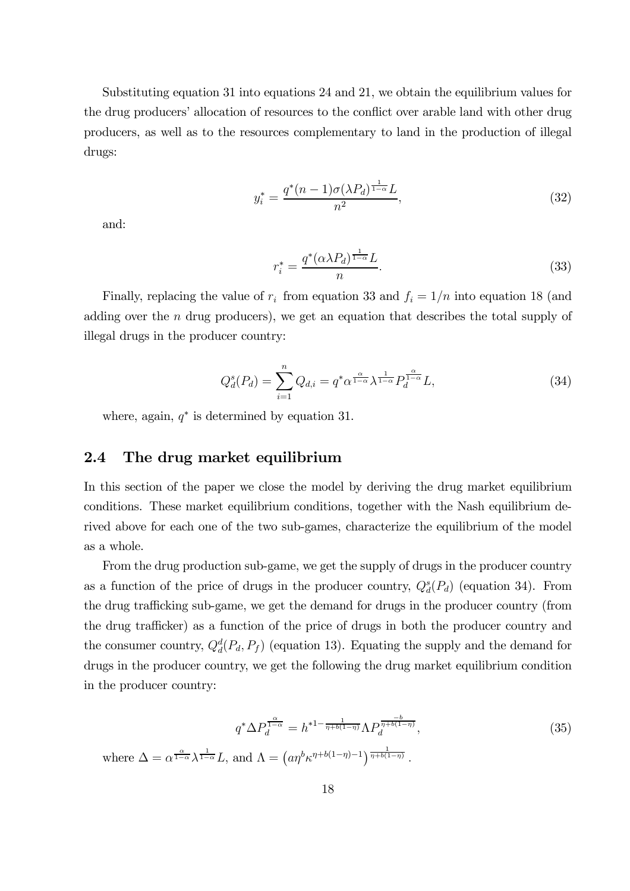Substituting equation 31 into equations 24 and 21, we obtain the equilibrium values for the drug producers' allocation of resources to the conflict over arable land with other drug producers, as well as to the resources complementary to land in the production of illegal drugs:

$$
y_i^* = \frac{q^*(n-1)\sigma(\lambda P_d)^{\frac{1}{1-\alpha}}L}{n^2},\tag{32}
$$

and:

$$
r_i^* = \frac{q^*(\alpha \lambda P_d)^{\frac{1}{1-\alpha}} L}{n}.\tag{33}
$$

Finally, replacing the value of  $r_i$  from equation 33 and  $f_i = 1/n$  into equation 18 (and adding over the  $n$  drug producers), we get an equation that describes the total supply of illegal drugs in the producer country:

$$
Q_d^s(P_d) = \sum_{i=1}^n Q_{d,i} = q^* \alpha^{\frac{\alpha}{1-\alpha}} \lambda^{\frac{1}{1-\alpha}} P_d^{\frac{\alpha}{1-\alpha}} L,
$$
\n(34)

where, again,  $q^*$  is determined by equation 31.

### 2.4 The drug market equilibrium

In this section of the paper we close the model by deriving the drug market equilibrium conditions. These market equilibrium conditions, together with the Nash equilibrium derived above for each one of the two sub-games, characterize the equilibrium of the model as a whole.

From the drug production sub-game, we get the supply of drugs in the producer country as a function of the price of drugs in the producer country,  $Q_d^s(P_d)$  (equation 34). From the drug trafficking sub-game, we get the demand for drugs in the producer country (from the drug trafficker) as a function of the price of drugs in both the producer country and the consumer country,  $Q_d^d(P_d, P_f)$  (equation 13). Equating the supply and the demand for drugs in the producer country, we get the following the drug market equilibrium condition in the producer country:

$$
q^* \Delta P_d^{\frac{\alpha}{1-\alpha}} = h^{*1-\frac{1}{\eta+b(1-\eta)}} \Lambda P_d^{\frac{-b}{\eta+b(1-\eta)}},
$$
  
where  $\Delta = \alpha^{\frac{\alpha}{1-\alpha}} \lambda^{\frac{1}{1-\alpha}} L$ , and  $\Lambda = (a\eta^b \kappa^{\eta+b(1-\eta)-1})^{\frac{1}{\eta+b(1-\eta)}}$ . (35)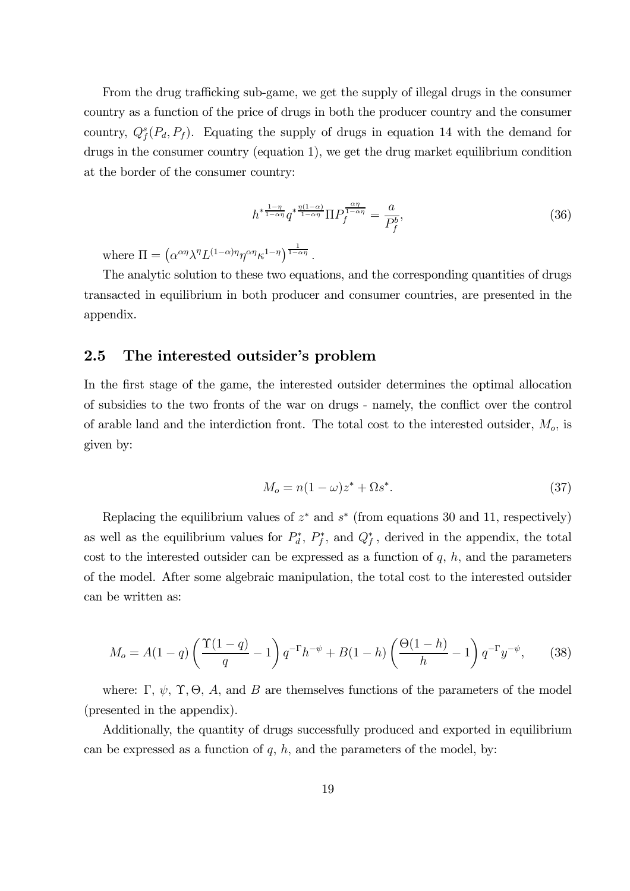From the drug trafficking sub-game, we get the supply of illegal drugs in the consumer country as a function of the price of drugs in both the producer country and the consumer country,  $Q_f^s(P_d, P_f)$ . Equating the supply of drugs in equation 14 with the demand for drugs in the consumer country (equation 1), we get the drug market equilibrium condition at the border of the consumer country:

$$
h^{*\frac{1-\eta}{1-\alpha\eta}}q^{*\frac{\eta(1-\alpha)}{1-\alpha\eta}}\Pi P_f^{\frac{\alpha\eta}{1-\alpha\eta}} = \frac{a}{P_f^b},\tag{36}
$$

where  $\Pi = (\alpha^{\alpha\eta} \lambda^{\eta} L^{(1-\alpha)\eta} \eta^{\alpha\eta} \kappa^{1-\eta})^{\frac{1}{1-\alpha\eta}}$ .

The analytic solution to these two equations, and the corresponding quantities of drugs transacted in equilibrium in both producer and consumer countries, are presented in the appendix.

### 2.5 The interested outsider's problem

In the first stage of the game, the interested outsider determines the optimal allocation of subsidies to the two fronts of the war on drugs - namely, the conflict over the control of arable land and the interdiction front. The total cost to the interested outsider,  $M_o$ , is given by:

$$
M_o = n(1 - \omega)z^* + \Omega s^*.
$$
 (37)

Replacing the equilibrium values of  $z^*$  and  $s^*$  (from equations 30 and 11, respectively) as well as the equilibrium values for  $P_d^*, P_f^*$ , and  $Q_f^*$ , derived in the appendix, the total cost to the interested outsider can be expressed as a function of  $q$ ,  $h$ , and the parameters of the model. After some algebraic manipulation, the total cost to the interested outsider can be written as:

$$
M_o = A(1-q) \left( \frac{\Upsilon(1-q)}{q} - 1 \right) q^{-\Gamma} h^{-\psi} + B(1-h) \left( \frac{\Theta(1-h)}{h} - 1 \right) q^{-\Gamma} y^{-\psi}, \tag{38}
$$

where: Γ,  $\psi$ , Υ, Θ, A, and B are themselves functions of the parameters of the model (presented in the appendix).

Additionally, the quantity of drugs successfully produced and exported in equilibrium can be expressed as a function of  $q$ ,  $h$ , and the parameters of the model, by: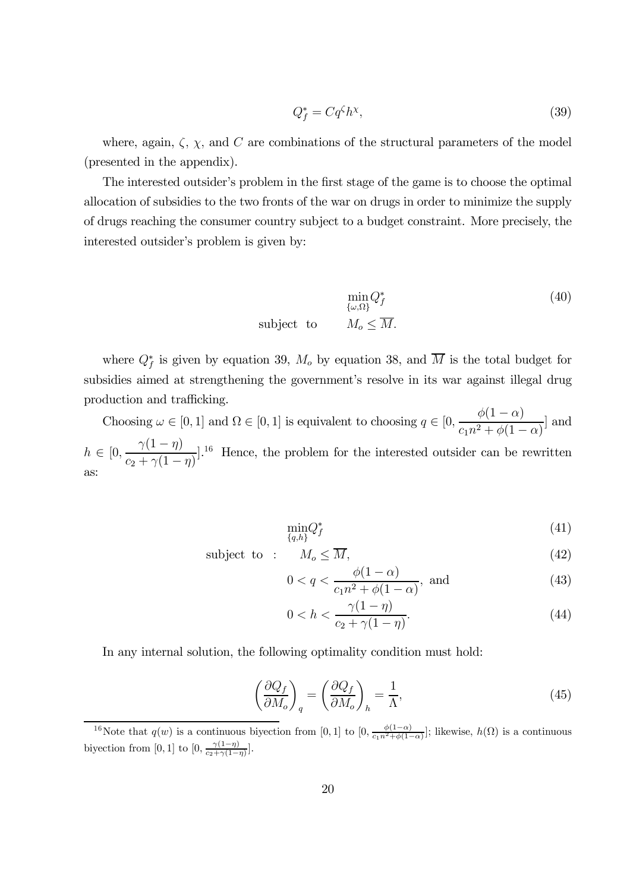$$
Q_f^* = Cq^{\zeta}h^{\chi},\tag{39}
$$

where, again,  $\zeta$ ,  $\chi$ , and C are combinations of the structural parameters of the model (presented in the appendix).

The interested outsider's problem in the first stage of the game is to choose the optimal allocation of subsidies to the two fronts of the war on drugs in order to minimize the supply of drugs reaching the consumer country subject to a budget constraint. More precisely, the interested outsider's problem is given by:

$$
\min_{\{\omega,\Omega\}} Q_f^*
$$
\nsubject to

\n
$$
M_o \leq \overline{M}.
$$
\n(40)

where  $Q_f^*$  is given by equation 39,  $M_o$  by equation 38, and  $\overline{M}$  is the total budget for subsidies aimed at strengthening the government's resolve in its war against illegal drug production and trafficking.

Choosing  $\omega \in [0, 1]$  and  $\Omega \in [0, 1]$  is equivalent to choosing  $q \in [0, \frac{\phi(1-\alpha)}{\cos^2 \theta^2 + \phi(1-\alpha)}]$  $\frac{\varphi(1-\alpha)}{c_1n^2 + \phi(1-\alpha)}$  and  $h \in [0, \frac{\gamma(1-\eta)}{c_2 + \gamma(1-\eta)}]$  $c_2 + \gamma(1 - \eta)$ <sup>16</sup> Hence, the problem for the interested outsider can be rewritten as:

$$
\min_{\{q,h\}} Q_f^* \tag{41}
$$

subject to :  $M_o \le M$ , (42)

$$
0 < q < \frac{\phi(1-\alpha)}{c_1 n^2 + \phi(1-\alpha)}
$$
, and (43)

$$
0 < h < \frac{\gamma(1 - \eta)}{c_2 + \gamma(1 - \eta)}.\tag{44}
$$

In any internal solution, the following optimality condition must hold:

$$
\left(\frac{\partial Q_f}{\partial M_o}\right)_q = \left(\frac{\partial Q_f}{\partial M_o}\right)_h = \frac{1}{\Lambda},\tag{45}
$$

<sup>&</sup>lt;sup>16</sup>Note that  $q(w)$  is a continuous biyection from [0, 1] to  $[0, \frac{\phi(1-\alpha)}{c_1n^2+\phi(1-\alpha)}]$ ; likewise,  $h(\Omega)$  is a continuous biyection from [0, 1] to  $[0, \frac{\gamma(1-\eta)}{c_2+\gamma(1-\eta)}]$ .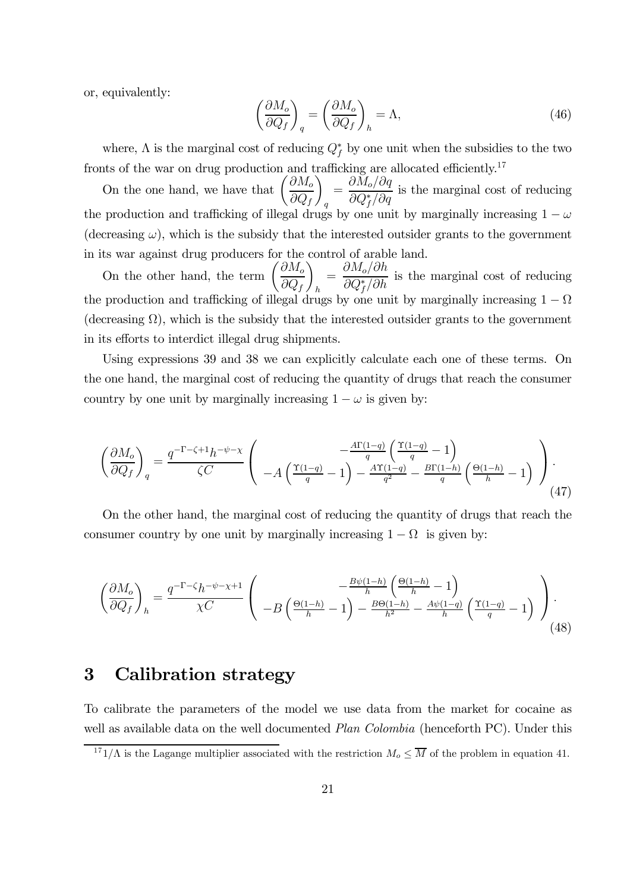or, equivalently:

$$
\left(\frac{\partial M_o}{\partial Q_f}\right)_q = \left(\frac{\partial M_o}{\partial Q_f}\right)_h = \Lambda,\tag{46}
$$

where,  $\Lambda$  is the marginal cost of reducing  $Q_f^*$  by one unit when the subsidies to the two fronts of the war on drug production and trafficking are allocated efficiently.<sup>17</sup>

On the one hand, we have that  $\left(\frac{\partial M_o}{\partial \Omega}\right)$  $\partial Q_f$  $\setminus$ q  $=\frac{\partial M_o/\partial q}{\partial Q^*/Q}$  $\frac{\partial M_{\partial f}(\partial q)}{\partial Q_f^*/\partial q}$  is the marginal cost of reducing the production and trafficking of illegal drugs by one unit by marginally increasing  $1 - \omega$ (decreasing  $\omega$ ), which is the subsidy that the interested outsider grants to the government in its war against drug producers for the control of arable land.

On the other hand, the term  $\left(\frac{\partial M_o}{\partial \Omega}\right)$  $\partial Q_f$  $\setminus$ h  $=\frac{\partial M_o/\partial h}{\partial Q_s^*/\partial L}$  $\frac{\partial \Omega_{f}}{\partial Q_{f}^{*}/\partial h}$  is the marginal cost of reducing the production and trafficking of illegal drugs by one unit by marginally increasing  $1 - \Omega$ (decreasing  $\Omega$ ), which is the subsidy that the interested outsider grants to the government in its efforts to interdict illegal drug shipments.

Using expressions 39 and 38 we can explicitly calculate each one of these terms. On the one hand, the marginal cost of reducing the quantity of drugs that reach the consumer country by one unit by marginally increasing  $1 - \omega$  is given by:

$$
\left(\frac{\partial M_o}{\partial Q_f}\right)_q = \frac{q^{-\Gamma-\zeta+1}h^{-\psi-\chi}}{\zeta C} \left( \begin{array}{c} -\frac{A\Gamma(1-q)}{q} \left(\frac{\Upsilon(1-q)}{q}-1\right) \\ -A\left(\frac{\Upsilon(1-q)}{q}-1\right) - \frac{A\Upsilon(1-q)}{q^2} - \frac{B\Gamma(1-h)}{q} \left(\frac{\Theta(1-h)}{h}-1\right) \end{array} \right). \tag{47}
$$

On the other hand, the marginal cost of reducing the quantity of drugs that reach the consumer country by one unit by marginally increasing  $1 - \Omega$  is given by:

$$
\left(\frac{\partial M_o}{\partial Q_f}\right)_h = \frac{q^{-\Gamma - \zeta} h^{-\psi - \chi + 1}}{\chi C} \left( -B \left( \frac{\Theta(1-h)}{h} - 1 \right) - \frac{B\psi(1-h)}{h^2} - \frac{A\psi(1-q)}{h} \left( \frac{\Upsilon(1-q)}{q} - 1 \right) \right).
$$
\n(48)

# 3 Calibration strategy

To calibrate the parameters of the model we use data from the market for cocaine as well as available data on the well documented *Plan Colombia* (henceforth PC). Under this

 $171/\Lambda$  is the Lagange multiplier associated with the restriction  $M_o \leq \overline{M}$  of the problem in equation 41.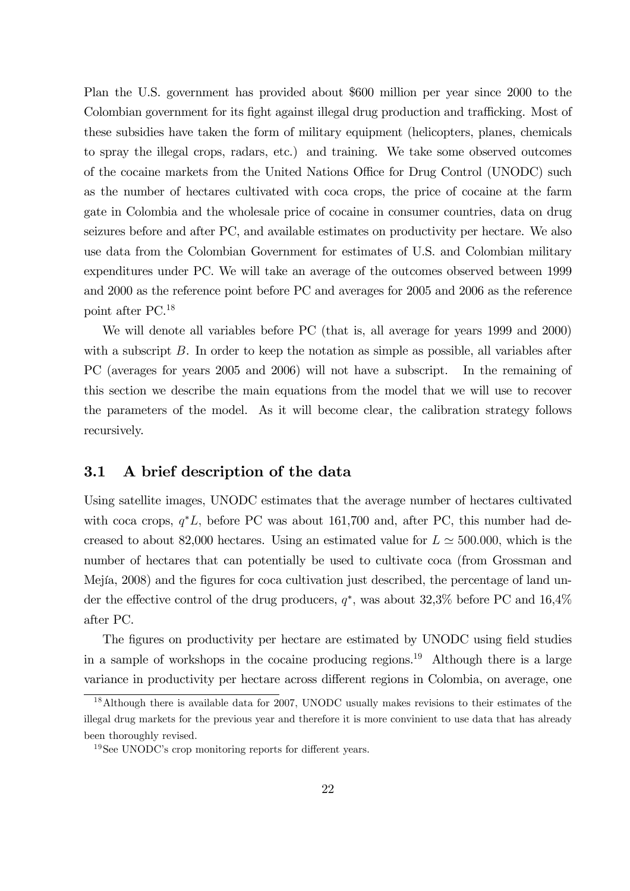Plan the U.S. government has provided about \$600 million per year since 2000 to the Colombian government for its fight against illegal drug production and trafficking. Most of these subsidies have taken the form of military equipment (helicopters, planes, chemicals to spray the illegal crops, radars, etc.) and training. We take some observed outcomes of the cocaine markets from the United Nations Office for Drug Control (UNODC) such as the number of hectares cultivated with coca crops, the price of cocaine at the farm gate in Colombia and the wholesale price of cocaine in consumer countries, data on drug seizures before and after PC, and available estimates on productivity per hectare. We also use data from the Colombian Government for estimates of U.S. and Colombian military expenditures under PC. We will take an average of the outcomes observed between 1999 and 2000 as the reference point before PC and averages for 2005 and 2006 as the reference point after PC.18

We will denote all variables before PC (that is, all average for years 1999 and 2000) with a subscript  $B$ . In order to keep the notation as simple as possible, all variables after PC (averages for years 2005 and 2006) will not have a subscript. In the remaining of this section we describe the main equations from the model that we will use to recover the parameters of the model. As it will become clear, the calibration strategy follows recursively.

### 3.1 A brief description of the data

Using satellite images, UNODC estimates that the average number of hectares cultivated with coca crops,  $q^*L$ , before PC was about 161,700 and, after PC, this number had decreased to about 82,000 hectares. Using an estimated value for  $L \approx 500,000$ , which is the number of hectares that can potentially be used to cultivate coca (from Grossman and Mejía, 2008) and the figures for coca cultivation just described, the percentage of land under the effective control of the drug producers,  $q^*$ , was about 32,3% before PC and 16,4% after PC.

The figures on productivity per hectare are estimated by UNODC using field studies in a sample of workshops in the cocaine producing regions.<sup>19</sup> Although there is a large variance in productivity per hectare across different regions in Colombia, on average, one

<sup>18</sup>Although there is available data for 2007, UNODC usually makes revisions to their estimates of the illegal drug markets for the previous year and therefore it is more convinient to use data that has already been thoroughly revised.

<sup>&</sup>lt;sup>19</sup>See UNODC's crop monitoring reports for different years.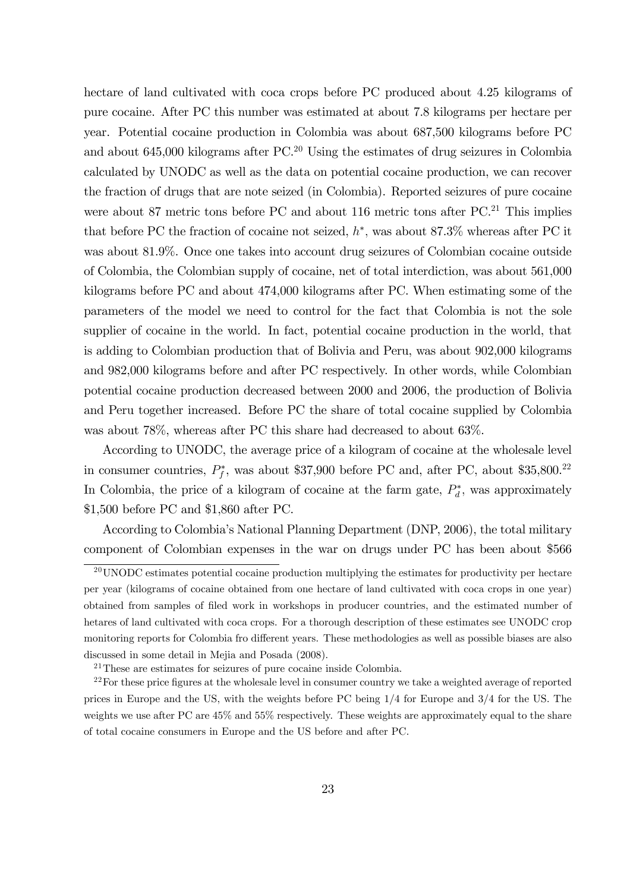hectare of land cultivated with coca crops before PC produced about 4.25 kilograms of pure cocaine. After PC this number was estimated at about 7.8 kilograms per hectare per year. Potential cocaine production in Colombia was about 687,500 kilograms before PC and about  $645,000$  kilograms after PC.<sup>20</sup> Using the estimates of drug seizures in Colombia calculated by UNODC as well as the data on potential cocaine production, we can recover the fraction of drugs that are note seized (in Colombia). Reported seizures of pure cocaine were about 87 metric tons before PC and about 116 metric tons after  $PC^{21}$  This implies that before PC the fraction of cocaine not seized,  $h^*$ , was about 87.3% whereas after PC it was about 81.9%. Once one takes into account drug seizures of Colombian cocaine outside of Colombia, the Colombian supply of cocaine, net of total interdiction, was about 561,000 kilograms before PC and about 474,000 kilograms after PC. When estimating some of the parameters of the model we need to control for the fact that Colombia is not the sole supplier of cocaine in the world. In fact, potential cocaine production in the world, that is adding to Colombian production that of Bolivia and Peru, was about 902,000 kilograms and 982,000 kilograms before and after PC respectively. In other words, while Colombian potential cocaine production decreased between 2000 and 2006, the production of Bolivia and Peru together increased. Before PC the share of total cocaine supplied by Colombia was about 78%, whereas after PC this share had decreased to about 63%.

According to UNODC, the average price of a kilogram of cocaine at the wholesale level in consumer countries,  $P_f^*$ , was about \$37,900 before PC and, after PC, about \$35,800.<sup>22</sup> In Colombia, the price of a kilogram of cocaine at the farm gate,  $P_d^*$ , was approximately \$1,500 before PC and \$1,860 after PC.

According to Colombia's National Planning Department (DNP, 2006), the total military component of Colombian expenses in the war on drugs under PC has been about \$566

 $20$ UNODC estimates potential cocaine production multiplying the estimates for productivity per hectare per year (kilograms of cocaine obtained from one hectare of land cultivated with coca crops in one year) obtained from samples of filed work in workshops in producer countries, and the estimated number of hetares of land cultivated with coca crops. For a thorough description of these estimates see UNODC crop monitoring reports for Colombia fro different years. These methodologies as well as possible biases are also discussed in some detail in Mejia and Posada (2008).

 $21$ These are estimates for seizures of pure cocaine inside Colombia.

 $22$  For these price figures at the wholesale level in consumer country we take a weighted average of reported prices in Europe and the US, with the weights before PC being 1/4 for Europe and 3/4 for the US. The weights we use after PC are 45% and 55% respectively. These weights are approximately equal to the share of total cocaine consumers in Europe and the US before and after PC.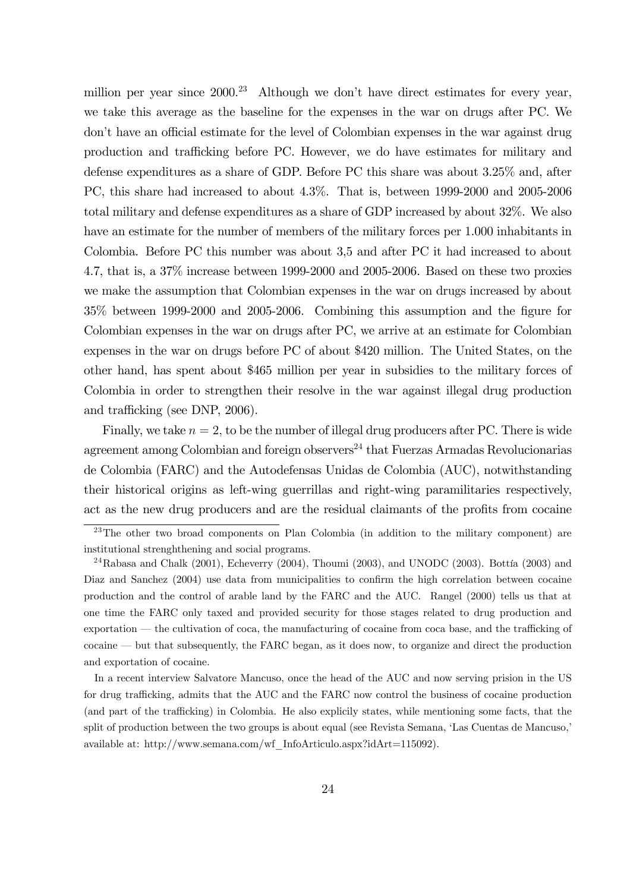million per year since  $2000<sup>23</sup>$  Although we don't have direct estimates for every year, we take this average as the baseline for the expenses in the war on drugs after PC. We don't have an official estimate for the level of Colombian expenses in the war against drug production and trafficking before PC. However, we do have estimates for military and defense expenditures as a share of GDP. Before PC this share was about 3.25% and, after PC, this share had increased to about 4.3%. That is, between 1999-2000 and 2005-2006 total military and defense expenditures as a share of GDP increased by about 32%. We also have an estimate for the number of members of the military forces per 1.000 inhabitants in Colombia. Before PC this number was about 3,5 and after PC it had increased to about 4.7, that is, a 37% increase between 1999-2000 and 2005-2006. Based on these two proxies we make the assumption that Colombian expenses in the war on drugs increased by about 35% between 1999-2000 and 2005-2006. Combining this assumption and the figure for Colombian expenses in the war on drugs after PC, we arrive at an estimate for Colombian expenses in the war on drugs before PC of about \$420 million. The United States, on the other hand, has spent about \$465 million per year in subsidies to the military forces of Colombia in order to strengthen their resolve in the war against illegal drug production and trafficking (see DNP, 2006).

Finally, we take  $n = 2$ , to be the number of illegal drug producers after PC. There is wide agreement among Colombian and foreign observers<sup>24</sup> that Fuerzas Armadas Revolucionarias de Colombia (FARC) and the Autodefensas Unidas de Colombia (AUC), notwithstanding their historical origins as left-wing guerrillas and right-wing paramilitaries respectively, act as the new drug producers and are the residual claimants of the profits from cocaine

In a recent interview Salvatore Mancuso, once the head of the AUC and now serving prision in the US for drug trafficking, admits that the AUC and the FARC now control the business of cocaine production (and part of the trafficking) in Colombia. He also explicily states, while mentioning some facts, that the split of production between the two groups is about equal (see Revista Semana, 'Las Cuentas de Mancuso,' available at: http://www.semana.com/wf\_InfoArticulo.aspx?idArt=115092).

 $^{23}$ The other two broad components on Plan Colombia (in addition to the military component) are institutional strenghthening and social programs.

 $^{24}$ Rabasa and Chalk (2001), Echeverry (2004), Thoumi (2003), and UNODC (2003). Bottía (2003) and Diaz and Sanchez (2004) use data from municipalities to confirm the high correlation between cocaine production and the control of arable land by the FARC and the AUC. Rangel (2000) tells us that at one time the FARC only taxed and provided security for those stages related to drug production and exportation – the cultivation of coca, the manufacturing of cocaine from coca base, and the trafficking of cocaine – but that subsequently, the FARC began, as it does now, to organize and direct the production and exportation of cocaine.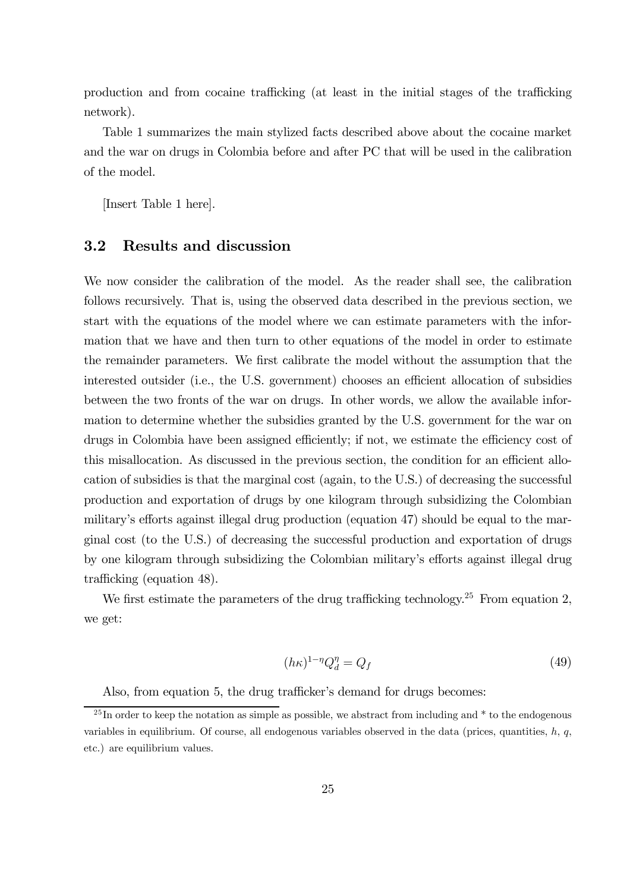production and from cocaine trafficking (at least in the initial stages of the trafficking network).

Table 1 summarizes the main stylized facts described above about the cocaine market and the war on drugs in Colombia before and after PC that will be used in the calibration of the model.

[Insert Table 1 here].

### 3.2 Results and discussion

We now consider the calibration of the model. As the reader shall see, the calibration follows recursively. That is, using the observed data described in the previous section, we start with the equations of the model where we can estimate parameters with the information that we have and then turn to other equations of the model in order to estimate the remainder parameters. We first calibrate the model without the assumption that the interested outsider (i.e., the U.S. government) chooses an efficient allocation of subsidies between the two fronts of the war on drugs. In other words, we allow the available information to determine whether the subsidies granted by the U.S. government for the war on drugs in Colombia have been assigned efficiently; if not, we estimate the efficiency cost of this misallocation. As discussed in the previous section, the condition for an efficient allocation of subsidies is that the marginal cost (again, to the U.S.) of decreasing the successful production and exportation of drugs by one kilogram through subsidizing the Colombian military's efforts against illegal drug production (equation 47) should be equal to the marginal cost (to the U.S.) of decreasing the successful production and exportation of drugs by one kilogram through subsidizing the Colombian military's efforts against illegal drug trafficking (equation 48).

We first estimate the parameters of the drug trafficking technology.<sup>25</sup> From equation 2, we get:

$$
(h\kappa)^{1-\eta}Q_d^{\eta} = Q_f \tag{49}
$$

Also, from equation 5, the drug trafficker's demand for drugs becomes:

 $^{25}$ In order to keep the notation as simple as possible, we abstract from including and  $*$  to the endogenous variables in equilibrium. Of course, all endogenous variables observed in the data (prices, quantities,  $h$ ,  $q$ , etc.) are equilibrium values.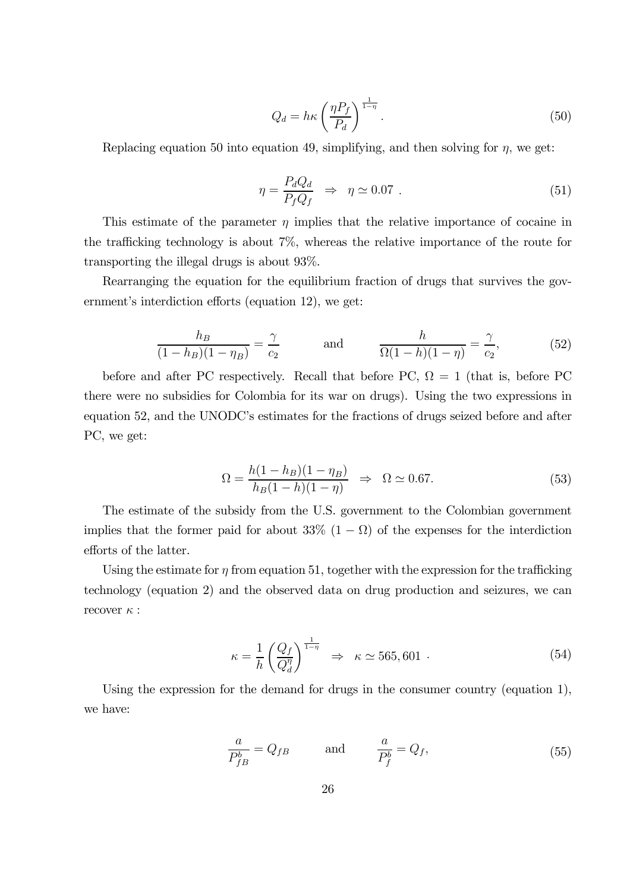$$
Q_d = h\kappa \left(\frac{\eta P_f}{P_d}\right)^{\frac{1}{1-\eta}}.\tag{50}
$$

Replacing equation 50 into equation 49, simplifying, and then solving for  $\eta$ , we get:

$$
\eta = \frac{P_d Q_d}{P_f Q_f} \Rightarrow \eta \simeq 0.07 \tag{51}
$$

This estimate of the parameter  $\eta$  implies that the relative importance of cocaine in the trafficking technology is about 7%, whereas the relative importance of the route for transporting the illegal drugs is about 93%.

Rearranging the equation for the equilibrium fraction of drugs that survives the government's interdiction efforts (equation 12), we get:

$$
\frac{h_B}{(1-h_B)(1-\eta_B)} = \frac{\gamma}{c_2} \quad \text{and} \quad \frac{h}{\Omega(1-h)(1-\eta)} = \frac{\gamma}{c_2}, \quad (52)
$$

before and after PC respectively. Recall that before PC,  $\Omega = 1$  (that is, before PC there were no subsidies for Colombia for its war on drugs). Using the two expressions in equation 52, and the UNODC's estimates for the fractions of drugs seized before and after PC, we get:

$$
\Omega = \frac{h(1 - h_B)(1 - \eta_B)}{h_B(1 - h)(1 - \eta)} \quad \Rightarrow \quad \Omega \simeq 0.67. \tag{53}
$$

The estimate of the subsidy from the U.S. government to the Colombian government implies that the former paid for about 33%  $(1 - \Omega)$  of the expenses for the interdiction efforts of the latter.

Using the estimate for  $\eta$  from equation 51, together with the expression for the trafficking technology (equation 2) and the observed data on drug production and seizures, we can recover  $\kappa$  :

$$
\kappa = \frac{1}{h} \left( \frac{Q_f}{Q_d^{\eta}} \right)^{\frac{1}{1-\eta}} \Rightarrow \kappa \simeq 565,601 \tag{54}
$$

Using the expression for the demand for drugs in the consumer country (equation 1), we have:

$$
\frac{a}{P_{fB}^{b}} = Q_{fB} \quad \text{and} \quad \frac{a}{P_f^{b}} = Q_f, \tag{55}
$$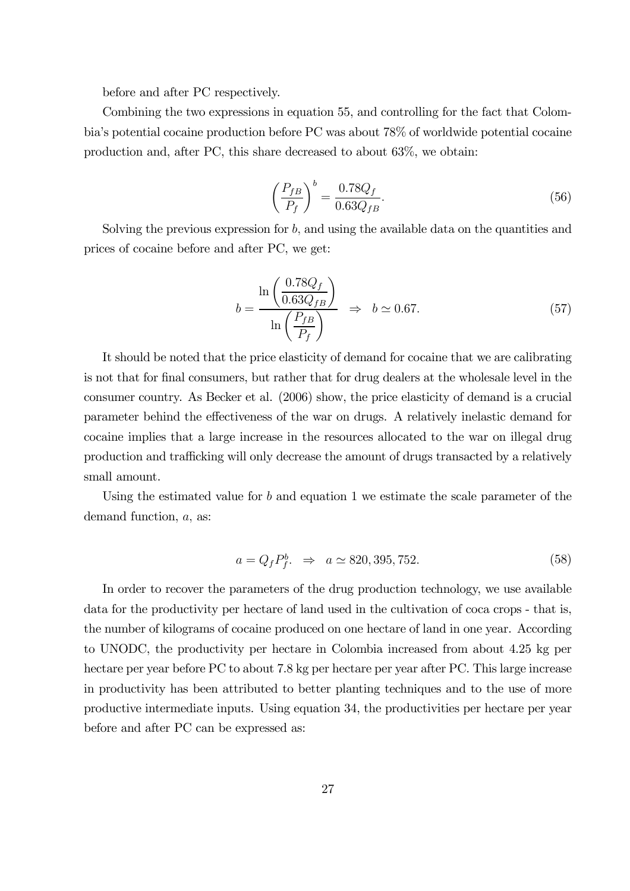before and after PC respectively.

Combining the two expressions in equation 55, and controlling for the fact that Colombia's potential cocaine production before PC was about 78% of worldwide potential cocaine production and, after PC, this share decreased to about 63%, we obtain:

$$
\left(\frac{P_{fB}}{P_f}\right)^b = \frac{0.78Q_f}{0.63Q_{fB}}.\tag{56}
$$

Solving the previous expression for  $b$ , and using the available data on the quantities and prices of cocaine before and after PC, we get:

$$
b = \frac{\ln\left(\frac{0.78Q_f}{0.63Q_{fB}}\right)}{\ln\left(\frac{P_{fB}}{P_f}\right)} \Rightarrow b \approx 0.67.
$$
 (57)

It should be noted that the price elasticity of demand for cocaine that we are calibrating is not that for final consumers, but rather that for drug dealers at the wholesale level in the consumer country. As Becker et al. (2006) show, the price elasticity of demand is a crucial parameter behind the effectiveness of the war on drugs. A relatively inelastic demand for cocaine implies that a large increase in the resources allocated to the war on illegal drug production and trafficking will only decrease the amount of drugs transacted by a relatively small amount.

Using the estimated value for  $b$  and equation 1 we estimate the scale parameter of the demand function, a, as:

$$
a = Q_f P_f^b. \Rightarrow a \simeq 820, 395, 752. \tag{58}
$$

In order to recover the parameters of the drug production technology, we use available data for the productivity per hectare of land used in the cultivation of coca crops - that is, the number of kilograms of cocaine produced on one hectare of land in one year. According to UNODC, the productivity per hectare in Colombia increased from about 4.25 kg per hectare per year before PC to about 7.8 kg per hectare per year after PC. This large increase in productivity has been attributed to better planting techniques and to the use of more productive intermediate inputs. Using equation 34, the productivities per hectare per year before and after PC can be expressed as: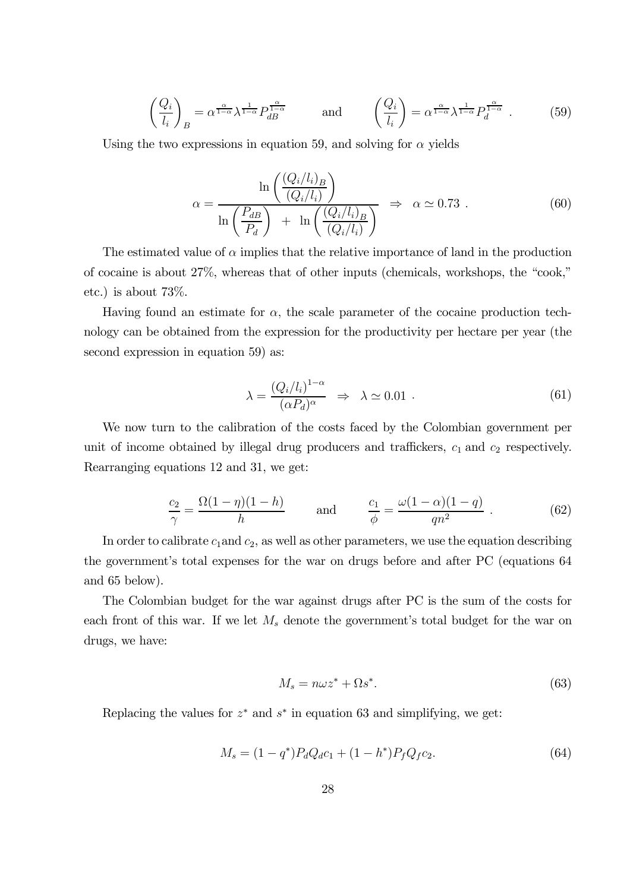$$
\left(\frac{Q_i}{l_i}\right)_B = \alpha^{\frac{\alpha}{1-\alpha}} \lambda^{\frac{1}{1-\alpha}} P_{dB}^{\frac{\alpha}{1-\alpha}} \quad \text{and} \quad \left(\frac{Q_i}{l_i}\right) = \alpha^{\frac{\alpha}{1-\alpha}} \lambda^{\frac{1}{1-\alpha}} P_d^{\frac{\alpha}{1-\alpha}} . \quad (59)
$$

Using the two expressions in equation 59, and solving for  $\alpha$  yields

$$
\alpha = \frac{\ln\left(\frac{(Q_i/l_i)_B}{(Q_i/l_i)}\right)}{\ln\left(\frac{P_{dB}}{P_d}\right) + \ln\left(\frac{(Q_i/l_i)_B}{(Q_i/l_i)}\right)} \Rightarrow \alpha \simeq 0.73 . \tag{60}
$$

The estimated value of  $\alpha$  implies that the relative importance of land in the production of cocaine is about 27%, whereas that of other inputs (chemicals, workshops, the "cook," etc.) is about 73%.

Having found an estimate for  $\alpha$ , the scale parameter of the cocaine production technology can be obtained from the expression for the productivity per hectare per year (the second expression in equation 59) as:

$$
\lambda = \frac{(Q_i/l_i)^{1-\alpha}}{(\alpha P_d)^{\alpha}} \Rightarrow \lambda \simeq 0.01 . \tag{61}
$$

We now turn to the calibration of the costs faced by the Colombian government per unit of income obtained by illegal drug producers and traffickers,  $c_1$  and  $c_2$  respectively. Rearranging equations 12 and 31, we get:

$$
\frac{c_2}{\gamma} = \frac{\Omega(1-\eta)(1-h)}{h} \quad \text{and} \quad \frac{c_1}{\phi} = \frac{\omega(1-\alpha)(1-q)}{qn^2} \ . \tag{62}
$$

In order to calibrate  $c_1$  and  $c_2$ , as well as other parameters, we use the equation describing the government's total expenses for the war on drugs before and after PC (equations 64 and 65 below).

The Colombian budget for the war against drugs after PC is the sum of the costs for each front of this war. If we let  $M_s$  denote the government's total budget for the war on drugs, we have:

$$
M_s = n\omega z^* + \Omega s^*.\tag{63}
$$

Replacing the values for  $z^*$  and  $s^*$  in equation 63 and simplifying, we get:

$$
M_s = (1 - q^*)P_dQ_d c_1 + (1 - h^*)P_fQ_f c_2.
$$
\n(64)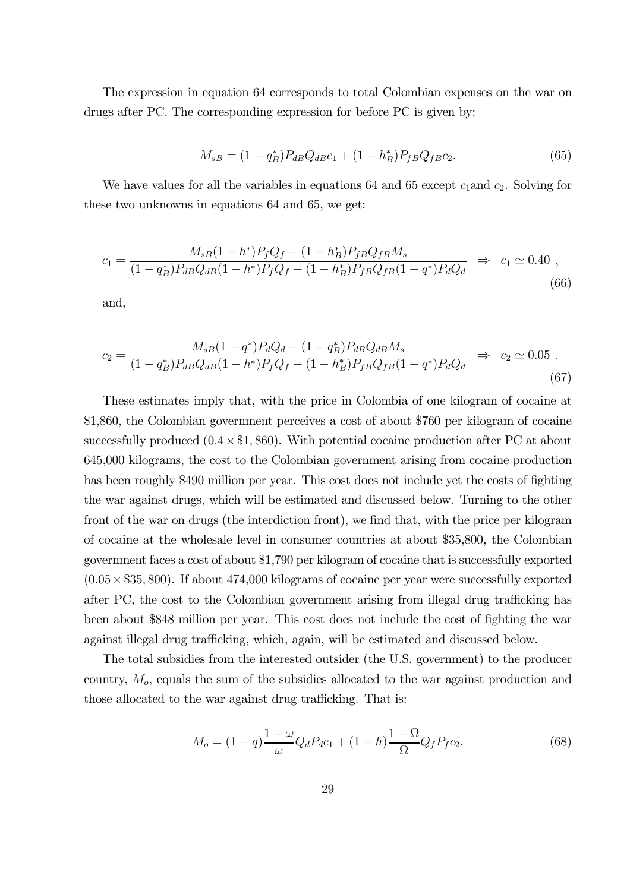The expression in equation 64 corresponds to total Colombian expenses on the war on drugs after PC. The corresponding expression for before PC is given by:

$$
M_{sB} = (1 - q_B^*) P_{dB} Q_{dB} c_1 + (1 - h_B^*) P_{fB} Q_{fB} c_2.
$$
\n(65)

We have values for all the variables in equations 64 and 65 except  $c_1$  and  $c_2$ . Solving for these two unknowns in equations 64 and 65, we get:

$$
c_1 = \frac{M_{sB}(1 - h^*)P_fQ_f - (1 - h^*_B)P_{fB}Q_{fB}M_s}{(1 - q^*_B)P_{dB}Q_{dB}(1 - h^*)P_fQ_f - (1 - h^*_B)P_{fB}Q_{fB}(1 - q^*)P_dQ_d} \Rightarrow c_1 \simeq 0.40,
$$
\n(66)

and,

$$
c_2 = \frac{M_{sB}(1-q^*)P_dQ_d - (1-q_B^*)P_{dB}Q_{dB}M_s}{(1-q_B^*)P_{dB}Q_{dB}(1-h^*)P_fQ_f - (1-h_B^*)P_{fB}Q_{fB}(1-q^*)P_dQ_d} \Rightarrow c_2 \simeq 0.05.
$$
\n(67)

These estimates imply that, with the price in Colombia of one kilogram of cocaine at \$1,860, the Colombian government perceives a cost of about \$760 per kilogram of cocaine successfully produced  $(0.4 \times $1,860)$ . With potential cocaine production after PC at about 645,000 kilograms, the cost to the Colombian government arising from cocaine production has been roughly \$490 million per year. This cost does not include yet the costs of fighting the war against drugs, which will be estimated and discussed below. Turning to the other front of the war on drugs (the interdiction front), we find that, with the price per kilogram of cocaine at the wholesale level in consumer countries at about \$35,800, the Colombian government faces a cost of about \$1,790 per kilogram of cocaine that is successfully exported  $(0.05\times $35, 800)$ . If about 474,000 kilograms of cocaine per year were successfully exported after PC, the cost to the Colombian government arising from illegal drug trafficking has been about \$848 million per year. This cost does not include the cost of fighting the war against illegal drug trafficking, which, again, will be estimated and discussed below.

The total subsidies from the interested outsider (the U.S. government) to the producer country,  $M<sub>o</sub>$ , equals the sum of the subsidies allocated to the war against production and those allocated to the war against drug trafficking. That is:

$$
M_o = (1 - q) \frac{1 - \omega}{\omega} Q_d P_d c_1 + (1 - h) \frac{1 - \Omega}{\Omega} Q_f P_f c_2.
$$
 (68)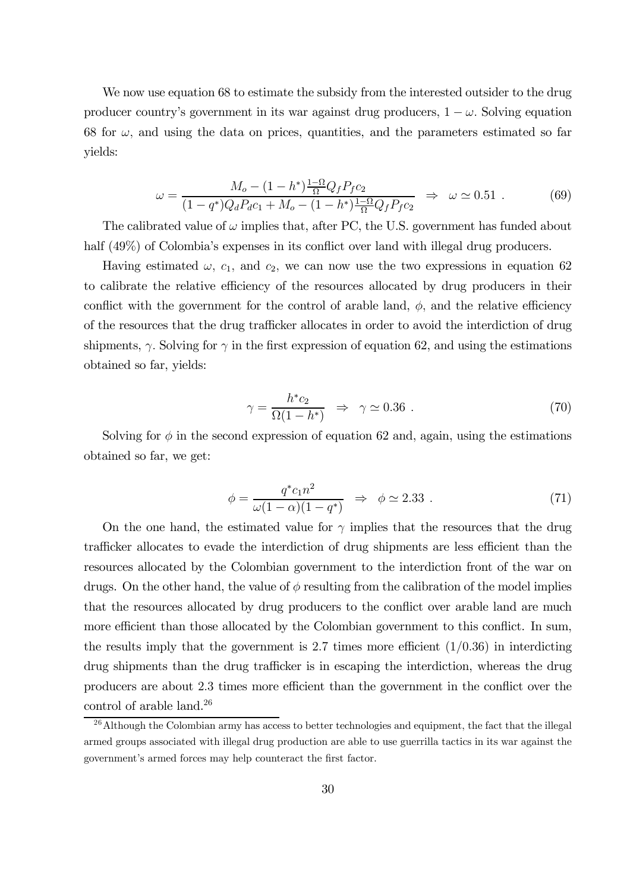We now use equation 68 to estimate the subsidy from the interested outsider to the drug producer country's government in its war against drug producers,  $1 - \omega$ . Solving equation 68 for  $\omega$ , and using the data on prices, quantities, and the parameters estimated so far yields:

$$
\omega = \frac{M_o - (1 - h^*) \frac{1 - \Omega}{\Omega} Q_f P_f c_2}{(1 - q^*) Q_d P_d c_1 + M_o - (1 - h^*) \frac{1 - \Omega}{\Omega} Q_f P_f c_2} \Rightarrow \omega \simeq 0.51. \tag{69}
$$

The calibrated value of  $\omega$  implies that, after PC, the U.S. government has funded about half (49%) of Colombia's expenses in its conflict over land with illegal drug producers.

Having estimated  $\omega$ ,  $c_1$ , and  $c_2$ , we can now use the two expressions in equation 62 to calibrate the relative efficiency of the resources allocated by drug producers in their conflict with the government for the control of arable land,  $\phi$ , and the relative efficiency of the resources that the drug trafficker allocates in order to avoid the interdiction of drug shipments,  $\gamma$ . Solving for  $\gamma$  in the first expression of equation 62, and using the estimations obtained so far, yields:

$$
\gamma = \frac{h^* c_2}{\Omega(1 - h^*)} \Rightarrow \gamma \simeq 0.36 \tag{70}
$$

Solving for  $\phi$  in the second expression of equation 62 and, again, using the estimations obtained so far, we get:

$$
\phi = \frac{q^* c_1 n^2}{\omega (1 - \alpha)(1 - q^*)} \quad \Rightarrow \quad \phi \simeq 2.33 \tag{71}
$$

On the one hand, the estimated value for  $\gamma$  implies that the resources that the drug trafficker allocates to evade the interdiction of drug shipments are less efficient than the resources allocated by the Colombian government to the interdiction front of the war on drugs. On the other hand, the value of  $\phi$  resulting from the calibration of the model implies that the resources allocated by drug producers to the conflict over arable land are much more efficient than those allocated by the Colombian government to this conflict. In sum, the results imply that the government is 2.7 times more efficient  $(1/0.36)$  in interdicting drug shipments than the drug trafficker is in escaping the interdiction, whereas the drug producers are about 2.3 times more efficient than the government in the conflict over the control of arable land.<sup>26</sup>

 $^{26}$ Although the Colombian army has access to better technologies and equipment, the fact that the illegal armed groups associated with illegal drug production are able to use guerrilla tactics in its war against the government's armed forces may help counteract the first factor.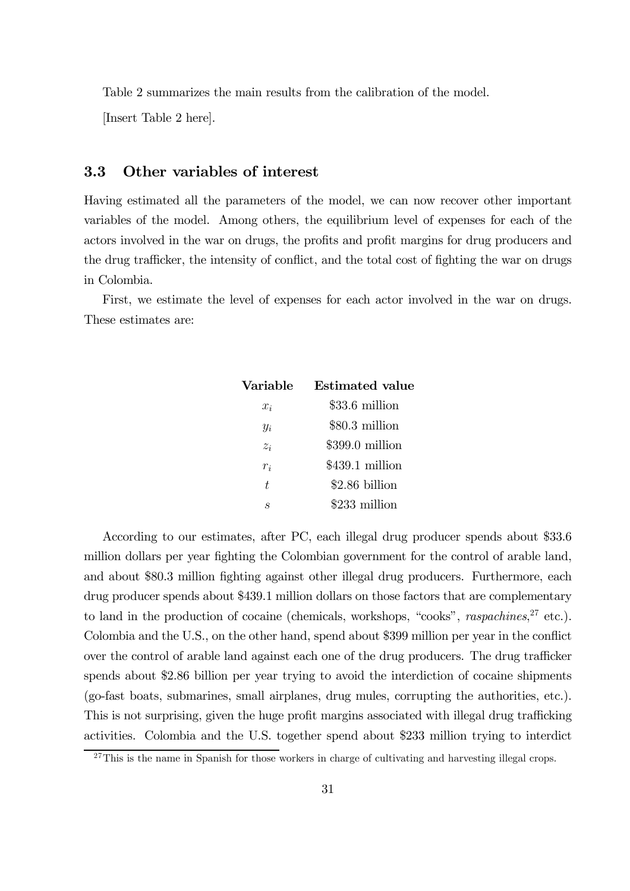Table 2 summarizes the main results from the calibration of the model.

[Insert Table 2 here].

### 3.3 Other variables of interest

Having estimated all the parameters of the model, we can now recover other important variables of the model. Among others, the equilibrium level of expenses for each of the actors involved in the war on drugs, the profits and profit margins for drug producers and the drug trafficker, the intensity of conflict, and the total cost of fighting the war on drugs in Colombia.

First, we estimate the level of expenses for each actor involved in the war on drugs. These estimates are:

| Variable       | <b>Estimated</b> value |
|----------------|------------------------|
| $x_i$          | \$33.6 million         |
| $y_i$          | $$80.3$ million        |
| $z_i$          | $$399.0$ million       |
| $r_i$          | $$439.1$ million       |
| $\overline{t}$ | \$2.86 billion         |
| S              | \$233 million          |
|                |                        |

According to our estimates, after PC, each illegal drug producer spends about \$33.6 million dollars per year fighting the Colombian government for the control of arable land, and about \$80.3 million fighting against other illegal drug producers. Furthermore, each drug producer spends about \$439.1 million dollars on those factors that are complementary to land in the production of cocaine (chemicals, workshops, "cooks", *raspachines*,<sup>27</sup> etc.). Colombia and the U.S., on the other hand, spend about \$399 million per year in the conflict over the control of arable land against each one of the drug producers. The drug trafficker spends about \$2.86 billion per year trying to avoid the interdiction of cocaine shipments (go-fast boats, submarines, small airplanes, drug mules, corrupting the authorities, etc.). This is not surprising, given the huge profit margins associated with illegal drug trafficking activities. Colombia and the U.S. together spend about \$233 million trying to interdict

 $27$ This is the name in Spanish for those workers in charge of cultivating and harvesting illegal crops.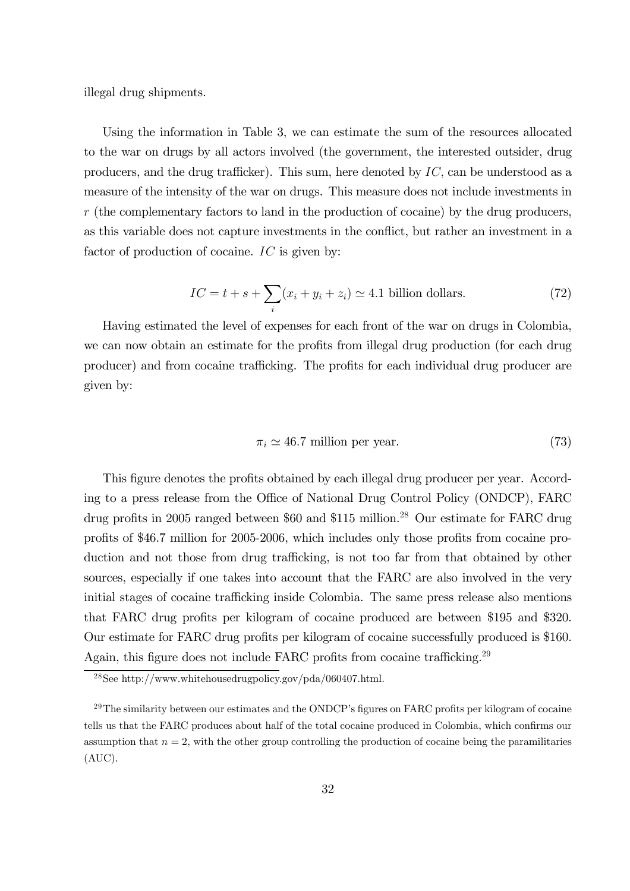illegal drug shipments.

Using the information in Table 3, we can estimate the sum of the resources allocated to the war on drugs by all actors involved (the government, the interested outsider, drug producers, and the drug trafficker). This sum, here denoted by IC, can be understood as a measure of the intensity of the war on drugs. This measure does not include investments in  $r$  (the complementary factors to land in the production of cocaine) by the drug producers, as this variable does not capture investments in the conflict, but rather an investment in a factor of production of cocaine. IC is given by:

$$
IC = t + s + \sum_{i} (x_i + y_i + z_i) \simeq 4.1 \text{ billion dollars.} \tag{72}
$$

Having estimated the level of expenses for each front of the war on drugs in Colombia, we can now obtain an estimate for the profits from illegal drug production (for each drug producer) and from cocaine trafficking. The profits for each individual drug producer are given by:

$$
\pi_i \simeq 46.7 \text{ million per year.} \tag{73}
$$

This figure denotes the profits obtained by each illegal drug producer per year. According to a press release from the Office of National Drug Control Policy (ONDCP), FARC drug profits in 2005 ranged between \$60 and \$115 million.<sup>28</sup> Our estimate for FARC drug profits of \$46.7 million for 2005-2006, which includes only those profits from cocaine production and not those from drug trafficking, is not too far from that obtained by other sources, especially if one takes into account that the FARC are also involved in the very initial stages of cocaine trafficking inside Colombia. The same press release also mentions that FARC drug profits per kilogram of cocaine produced are between \$195 and \$320. Our estimate for FARC drug profits per kilogram of cocaine successfully produced is \$160. Again, this figure does not include FARC profits from cocaine trafficking.<sup>29</sup>

<sup>28</sup>See http://www.whitehousedrugpolicy.gov/pda/060407.html.

<sup>&</sup>lt;sup>29</sup>The similarity between our estimates and the ONDCP's figures on FARC profits per kilogram of cocaine tells us that the FARC produces about half of the total cocaine produced in Colombia, which confirms our assumption that  $n = 2$ , with the other group controlling the production of cocaine being the paramilitaries (AUC).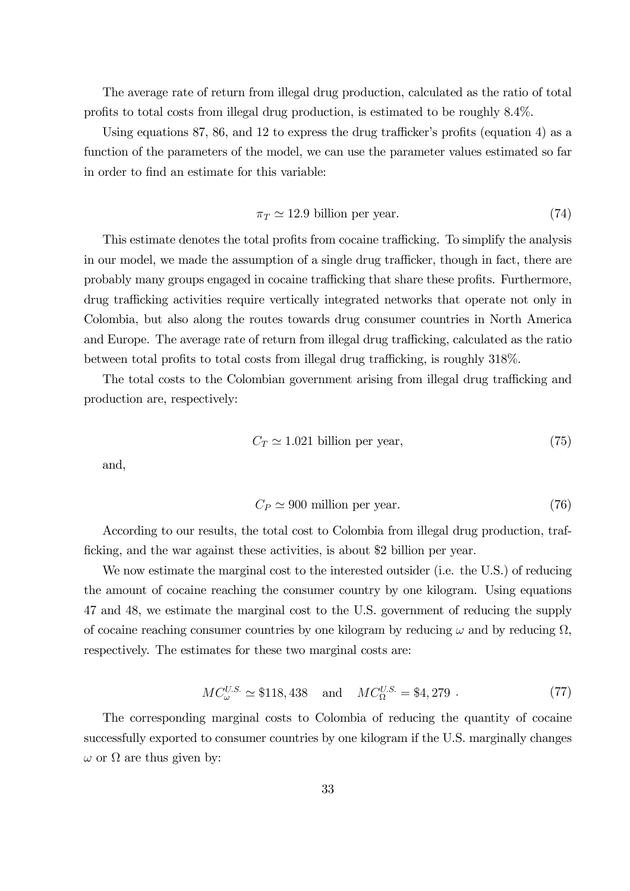The average rate of return from illegal drug production, calculated as the ratio of total profits to total costs from illegal drug production, is estimated to be roughly 8.4%.

Using equations 87, 86, and 12 to express the drug trafficker's profits (equation 4) as a function of the parameters of the model, we can use the parameter values estimated so far in order to find an estimate for this variable:

$$
\pi_T \simeq 12.9 \text{ billion per year.} \tag{74}
$$

This estimate denotes the total profits from cocaine trafficking. To simplify the analysis in our model, we made the assumption of a single drug trafficker, though in fact, there are probably many groups engaged in cocaine trafficking that share these profits. Furthermore, drug trafficking activities require vertically integrated networks that operate not only in Colombia, but also along the routes towards drug consumer countries in North America and Europe. The average rate of return from illegal drug trafficking, calculated as the ratio between total profits to total costs from illegal drug trafficking, is roughly 318%.

The total costs to the Colombian government arising from illegal drug trafficking and production are, respectively:

$$
C_T \simeq 1.021 \text{ billion per year},\tag{75}
$$

and,

$$
C_P \simeq 900 \text{ million per year.} \tag{76}
$$

According to our results, the total cost to Colombia from illegal drug production, trafficking, and the war against these activities, is about \$2 billion per year.

We now estimate the marginal cost to the interested outsider (i.e. the U.S.) of reducing the amount of cocaine reaching the consumer country by one kilogram. Using equations 47 and 48, we estimate the marginal cost to the U.S. government of reducing the supply of cocaine reaching consumer countries by one kilogram by reducing  $\omega$  and by reducing  $\Omega$ , respectively. The estimates for these two marginal costs are:

$$
MC_{\omega}^{U.S.} \simeq \$118,438 \quad \text{and} \quad MC_{\Omega}^{U.S.} = \$4,279 \ .
$$
 (77)

The corresponding marginal costs to Colombia of reducing the quantity of cocaine successfully exported to consumer countries by one kilogram if the U.S. marginally changes  $\omega$  or  $\Omega$  are thus given by: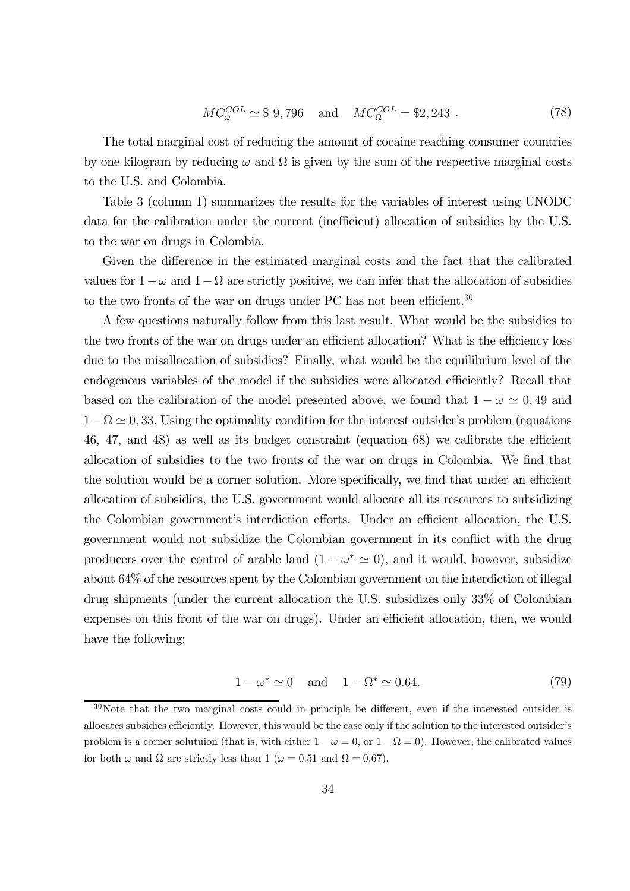$$
MC_{\omega}^{COL} \simeq $9,796 \text{ and } MC_{\Omega}^{COL} = $2,243.
$$
 (78)

The total marginal cost of reducing the amount of cocaine reaching consumer countries by one kilogram by reducing  $\omega$  and  $\Omega$  is given by the sum of the respective marginal costs to the U.S. and Colombia.

Table 3 (column 1) summarizes the results for the variables of interest using UNODC data for the calibration under the current (inefficient) allocation of subsidies by the U.S. to the war on drugs in Colombia.

Given the difference in the estimated marginal costs and the fact that the calibrated values for  $1-\omega$  and  $1-\Omega$  are strictly positive, we can infer that the allocation of subsidies to the two fronts of the war on drugs under PC has not been efficient.<sup>30</sup>

A few questions naturally follow from this last result. What would be the subsidies to the two fronts of the war on drugs under an efficient allocation? What is the efficiency loss due to the misallocation of subsidies? Finally, what would be the equilibrium level of the endogenous variables of the model if the subsidies were allocated efficiently? Recall that based on the calibration of the model presented above, we found that  $1 - \omega \simeq 0.49$  and  $1-\Omega \simeq 0, 33$ . Using the optimality condition for the interest outsider's problem (equations 46, 47, and 48) as well as its budget constraint (equation 68) we calibrate the efficient allocation of subsidies to the two fronts of the war on drugs in Colombia. We find that the solution would be a corner solution. More specifically, we find that under an efficient allocation of subsidies, the U.S. government would allocate all its resources to subsidizing the Colombian government's interdiction efforts. Under an efficient allocation, the U.S. government would not subsidize the Colombian government in its conflict with the drug producers over the control of arable land  $(1 - \omega^* \approx 0)$ , and it would, however, subsidize about 64% of the resources spent by the Colombian government on the interdiction of illegal drug shipments (under the current allocation the U.S. subsidizes only 33% of Colombian expenses on this front of the war on drugs). Under an efficient allocation, then, we would have the following:

$$
1 - \omega^* \simeq 0 \quad \text{and} \quad 1 - \Omega^* \simeq 0.64. \tag{79}
$$

<sup>30</sup>Note that the two marginal costs could in principle be different, even if the interested outsider is allocates subsidies efficiently. However, this would be the case only if the solution to the interested outsider's problem is a corner solutuion (that is, with either  $1 - \omega = 0$ , or  $1 - \Omega = 0$ ). However, the calibrated values for both  $\omega$  and  $\Omega$  are strictly less than 1 ( $\omega = 0.51$  and  $\Omega = 0.67$ ).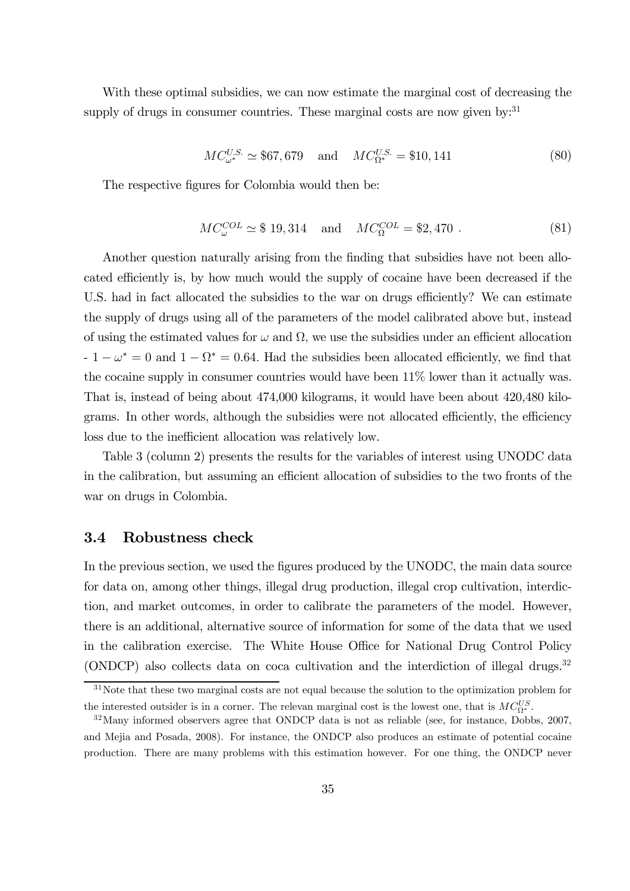With these optimal subsidies, we can now estimate the marginal cost of decreasing the supply of drugs in consumer countries. These marginal costs are now given by: $31$ 

$$
MC_{\omega^*}^{U.S.} \simeq $67,679 \quad \text{and} \quad MC_{\Omega^*}^{U.S.} = $10,141 \tag{80}
$$

The respective figures for Colombia would then be:

$$
MC_{\omega}^{COL} \simeq $19,314 \text{ and } MC_{\Omega}^{COL} = $2,470.
$$
 (81)

Another question naturally arising from the finding that subsidies have not been allocated efficiently is, by how much would the supply of cocaine have been decreased if the U.S. had in fact allocated the subsidies to the war on drugs efficiently? We can estimate the supply of drugs using all of the parameters of the model calibrated above but, instead of using the estimated values for  $\omega$  and  $\Omega$ , we use the subsidies under an efficient allocation  $-1 - \omega^* = 0$  and  $1 - \Omega^* = 0.64$ . Had the subsidies been allocated efficiently, we find that the cocaine supply in consumer countries would have been 11% lower than it actually was. That is, instead of being about 474,000 kilograms, it would have been about 420,480 kilograms. In other words, although the subsidies were not allocated efficiently, the efficiency loss due to the inefficient allocation was relatively low.

Table 3 (column 2) presents the results for the variables of interest using UNODC data in the calibration, but assuming an efficient allocation of subsidies to the two fronts of the war on drugs in Colombia.

### 3.4 Robustness check

In the previous section, we used the figures produced by the UNODC, the main data source for data on, among other things, illegal drug production, illegal crop cultivation, interdiction, and market outcomes, in order to calibrate the parameters of the model. However, there is an additional, alternative source of information for some of the data that we used in the calibration exercise. The White House Office for National Drug Control Policy (ONDCP) also collects data on coca cultivation and the interdiction of illegal drugs.<sup>32</sup>

<sup>&</sup>lt;sup>31</sup>Note that these two marginal costs are not equal because the solution to the optimization problem for the interested outsider is in a corner. The relevan marginal cost is the lowest one, that is  $MC_{0*}^{US}$ .

 $32$ Many informed observers agree that ONDCP data is not as reliable (see, for instance, Dobbs, 2007, and Mejia and Posada, 2008). For instance, the ONDCP also produces an estimate of potential cocaine production. There are many problems with this estimation however. For one thing, the ONDCP never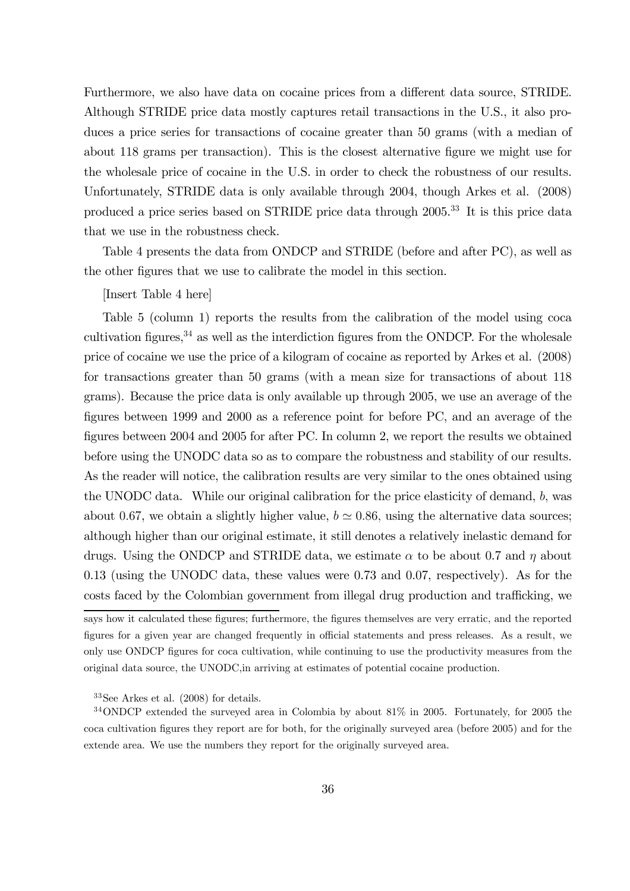Furthermore, we also have data on cocaine prices from a different data source, STRIDE. Although STRIDE price data mostly captures retail transactions in the U.S., it also produces a price series for transactions of cocaine greater than 50 grams (with a median of about 118 grams per transaction). This is the closest alternative figure we might use for the wholesale price of cocaine in the U.S. in order to check the robustness of our results. Unfortunately, STRIDE data is only available through 2004, though Arkes et al. (2008) produced a price series based on STRIDE price data through 2005.<sup>33</sup> It is this price data that we use in the robustness check.

Table 4 presents the data from ONDCP and STRIDE (before and after PC), as well as the other figures that we use to calibrate the model in this section.

[Insert Table 4 here]

Table 5 (column 1) reports the results from the calibration of the model using coca cultivation figures,  $34$  as well as the interdiction figures from the ONDCP. For the wholesale price of cocaine we use the price of a kilogram of cocaine as reported by Arkes et al. (2008) for transactions greater than 50 grams (with a mean size for transactions of about 118 grams). Because the price data is only available up through 2005, we use an average of the figures between 1999 and 2000 as a reference point for before PC, and an average of the figures between 2004 and 2005 for after PC. In column 2, we report the results we obtained before using the UNODC data so as to compare the robustness and stability of our results. As the reader will notice, the calibration results are very similar to the ones obtained using the UNODC data. While our original calibration for the price elasticity of demand, b, was about 0.67, we obtain a slightly higher value,  $b \approx 0.86$ , using the alternative data sources; although higher than our original estimate, it still denotes a relatively inelastic demand for drugs. Using the ONDCP and STRIDE data, we estimate  $\alpha$  to be about 0.7 and  $\eta$  about 0.13 (using the UNODC data, these values were 0.73 and 0.07, respectively). As for the costs faced by the Colombian government from illegal drug production and trafficking, we

says how it calculated these figures; furthermore, the figures themselves are very erratic, and the reported figures for a given year are changed frequently in official statements and press releases. As a result, we only use ONDCP figures for coca cultivation, while continuing to use the productivity measures from the original data source, the UNODC,in arriving at estimates of potential cocaine production.

<sup>33</sup>See Arkes et al. (2008) for details.

<sup>34</sup>ONDCP extended the surveyed area in Colombia by about 81% in 2005. Fortunately, for 2005 the coca cultivation figures they report are for both, for the originally surveyed area (before 2005) and for the extende area. We use the numbers they report for the originally surveyed area.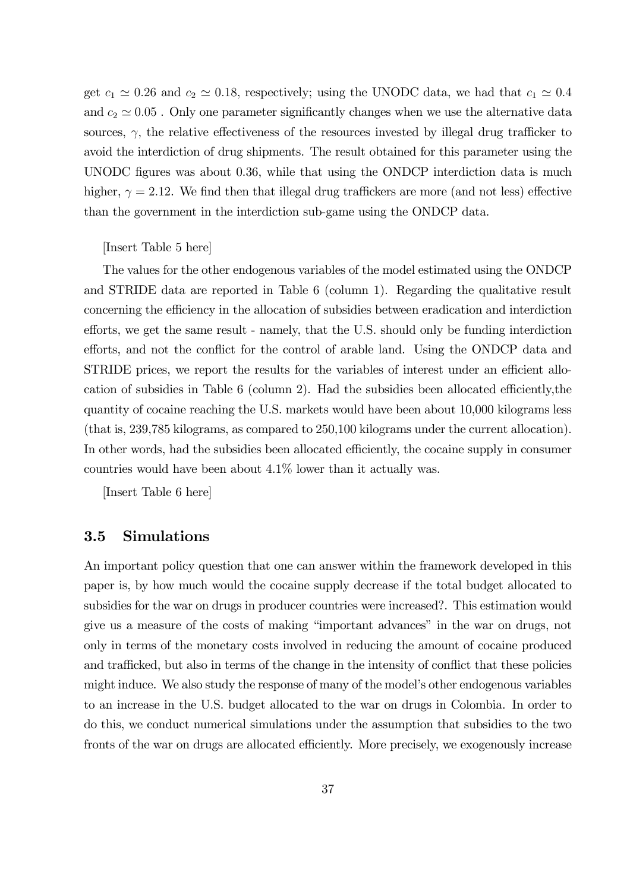get  $c_1 \approx 0.26$  and  $c_2 \approx 0.18$ , respectively; using the UNODC data, we had that  $c_1 \approx 0.4$ and  $c_2 \simeq 0.05$ . Only one parameter significantly changes when we use the alternative data sources,  $\gamma$ , the relative effectiveness of the resources invested by illegal drug trafficker to avoid the interdiction of drug shipments. The result obtained for this parameter using the UNODC figures was about 0.36, while that using the ONDCP interdiction data is much higher,  $\gamma = 2.12$ . We find then that illegal drug traffickers are more (and not less) effective than the government in the interdiction sub-game using the ONDCP data.

### [Insert Table 5 here]

The values for the other endogenous variables of the model estimated using the ONDCP and STRIDE data are reported in Table 6 (column 1). Regarding the qualitative result concerning the efficiency in the allocation of subsidies between eradication and interdiction efforts, we get the same result - namely, that the U.S. should only be funding interdiction efforts, and not the conflict for the control of arable land. Using the ONDCP data and STRIDE prices, we report the results for the variables of interest under an efficient allocation of subsidies in Table 6 (column 2). Had the subsidies been allocated efficiently,the quantity of cocaine reaching the U.S. markets would have been about 10,000 kilograms less (that is, 239,785 kilograms, as compared to 250,100 kilograms under the current allocation). In other words, had the subsidies been allocated efficiently, the cocaine supply in consumer countries would have been about  $4.1\%$  lower than it actually was.

[Insert Table 6 here]

### 3.5 Simulations

An important policy question that one can answer within the framework developed in this paper is, by how much would the cocaine supply decrease if the total budget allocated to subsidies for the war on drugs in producer countries were increased?. This estimation would give us a measure of the costs of making "important advances" in the war on drugs, not only in terms of the monetary costs involved in reducing the amount of cocaine produced and trafficked, but also in terms of the change in the intensity of conflict that these policies might induce. We also study the response of many of the model's other endogenous variables to an increase in the U.S. budget allocated to the war on drugs in Colombia. In order to do this, we conduct numerical simulations under the assumption that subsidies to the two fronts of the war on drugs are allocated efficiently. More precisely, we exogenously increase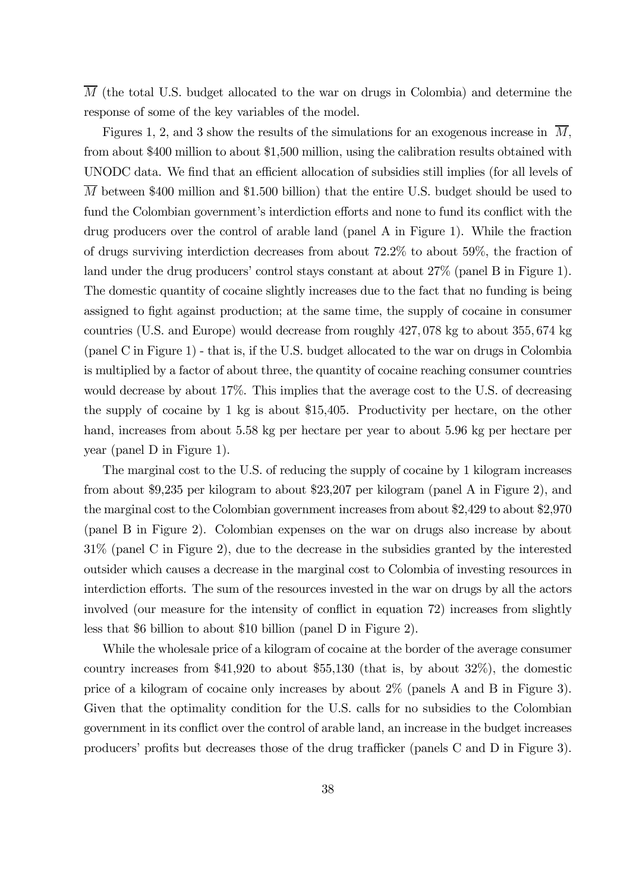M (the total U.S. budget allocated to the war on drugs in Colombia) and determine the response of some of the key variables of the model.

Figures 1, 2, and 3 show the results of the simulations for an exogenous increase in  $\overline{M}$ , from about \$400 million to about \$1,500 million, using the calibration results obtained with UNODC data. We find that an efficient allocation of subsidies still implies (for all levels of M between \$400 million and \$1.500 billion) that the entire U.S. budget should be used to fund the Colombian government's interdiction efforts and none to fund its conflict with the drug producers over the control of arable land (panel A in Figure 1). While the fraction of drugs surviving interdiction decreases from about 72.2% to about 59%, the fraction of land under the drug producers' control stays constant at about 27% (panel B in Figure 1). The domestic quantity of cocaine slightly increases due to the fact that no funding is being assigned to fight against production; at the same time, the supply of cocaine in consumer countries (U.S. and Europe) would decrease from roughly 427, 078 kg to about 355, 674 kg (panel C in Figure 1) - that is, if the U.S. budget allocated to the war on drugs in Colombia is multiplied by a factor of about three, the quantity of cocaine reaching consumer countries would decrease by about 17%. This implies that the average cost to the U.S. of decreasing the supply of cocaine by 1 kg is about \$15,405. Productivity per hectare, on the other hand, increases from about 5.58 kg per hectare per year to about 5.96 kg per hectare per year (panel D in Figure 1).

The marginal cost to the U.S. of reducing the supply of cocaine by 1 kilogram increases from about \$9,235 per kilogram to about \$23,207 per kilogram (panel A in Figure 2), and the marginal cost to the Colombian government increases from about \$2,429 to about \$2,970 (panel B in Figure 2). Colombian expenses on the war on drugs also increase by about 31% (panel C in Figure 2), due to the decrease in the subsidies granted by the interested outsider which causes a decrease in the marginal cost to Colombia of investing resources in interdiction efforts. The sum of the resources invested in the war on drugs by all the actors involved (our measure for the intensity of conflict in equation 72) increases from slightly less that \$6 billion to about \$10 billion (panel D in Figure 2).

While the wholesale price of a kilogram of cocaine at the border of the average consumer country increases from \$41,920 to about \$55,130 (that is, by about 32%), the domestic price of a kilogram of cocaine only increases by about 2% (panels A and B in Figure 3). Given that the optimality condition for the U.S. calls for no subsidies to the Colombian government in its conflict over the control of arable land, an increase in the budget increases producers' profits but decreases those of the drug trafficker (panels C and D in Figure 3).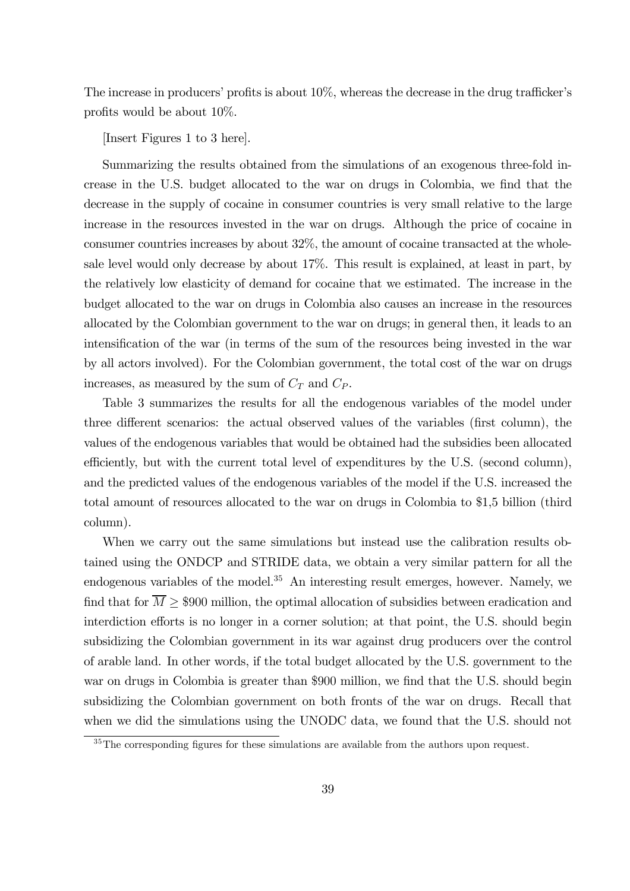The increase in producers' profits is about 10%, whereas the decrease in the drug trafficker's profits would be about 10%.

[Insert Figures 1 to 3 here].

Summarizing the results obtained from the simulations of an exogenous three-fold increase in the U.S. budget allocated to the war on drugs in Colombia, we find that the decrease in the supply of cocaine in consumer countries is very small relative to the large increase in the resources invested in the war on drugs. Although the price of cocaine in consumer countries increases by about 32%, the amount of cocaine transacted at the wholesale level would only decrease by about 17%. This result is explained, at least in part, by the relatively low elasticity of demand for cocaine that we estimated. The increase in the budget allocated to the war on drugs in Colombia also causes an increase in the resources allocated by the Colombian government to the war on drugs; in general then, it leads to an intensification of the war (in terms of the sum of the resources being invested in the war by all actors involved). For the Colombian government, the total cost of the war on drugs increases, as measured by the sum of  $C_T$  and  $C_P$ .

Table 3 summarizes the results for all the endogenous variables of the model under three different scenarios: the actual observed values of the variables (first column), the values of the endogenous variables that would be obtained had the subsidies been allocated efficiently, but with the current total level of expenditures by the U.S. (second column), and the predicted values of the endogenous variables of the model if the U.S. increased the total amount of resources allocated to the war on drugs in Colombia to \$1,5 billion (third column).

When we carry out the same simulations but instead use the calibration results obtained using the ONDCP and STRIDE data, we obtain a very similar pattern for all the endogenous variables of the model.<sup>35</sup> An interesting result emerges, however. Namely, we find that for  $M \geq $900$  million, the optimal allocation of subsidies between eradication and interdiction efforts is no longer in a corner solution; at that point, the U.S. should begin subsidizing the Colombian government in its war against drug producers over the control of arable land. In other words, if the total budget allocated by the U.S. government to the war on drugs in Colombia is greater than \$900 million, we find that the U.S. should begin subsidizing the Colombian government on both fronts of the war on drugs. Recall that when we did the simulations using the UNODC data, we found that the U.S. should not

 $35$ The corresponding figures for these simulations are available from the authors upon request.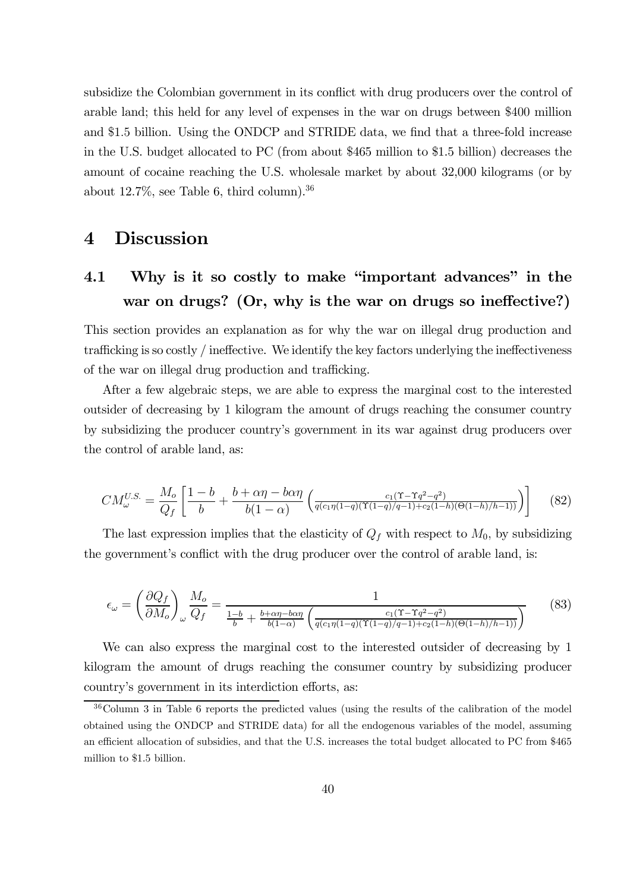subsidize the Colombian government in its conflict with drug producers over the control of arable land; this held for any level of expenses in the war on drugs between \$400 million and \$1.5 billion. Using the ONDCP and STRIDE data, we find that a three-fold increase in the U.S. budget allocated to PC (from about \$465 million to \$1.5 billion) decreases the amount of cocaine reaching the U.S. wholesale market by about 32,000 kilograms (or by about  $12.7\%$ , see Table 6, third column).<sup>36</sup>

# 4 Discussion

# 4.1 Why is it so costly to make "important advances" in the war on drugs? (Or, why is the war on drugs so ineffective?)

This section provides an explanation as for why the war on illegal drug production and trafficking is so costly / ineffective. We identify the key factors underlying the ineffectiveness of the war on illegal drug production and trafficking.

After a few algebraic steps, we are able to express the marginal cost to the interested outsider of decreasing by 1 kilogram the amount of drugs reaching the consumer country by subsidizing the producer country's government in its war against drug producers over the control of arable land, as:

$$
CM_{\omega}^{U.S.} = \frac{M_o}{Q_f} \left[ \frac{1-b}{b} + \frac{b+\alpha\eta - b\alpha\eta}{b(1-\alpha)} \left( \frac{c_1(\Upsilon - \Upsilon q^2 - q^2)}{q(c_1\eta(1-q)(\Upsilon(1-q)/q-1) + c_2(1-h)(\Theta(1-h)/h-1))} \right) \right]
$$
(82)

The last expression implies that the elasticity of  $Q_f$  with respect to  $M_0$ , by subsidizing the government's conflict with the drug producer over the control of arable land, is:

$$
\epsilon_{\omega} = \left(\frac{\partial Q_f}{\partial M_o}\right)_{\omega} \frac{M_o}{Q_f} = \frac{1}{\frac{1-b}{b} + \frac{b+\alpha\eta - b\alpha\eta}{b(1-\alpha)} \left(\frac{c_1(\Upsilon - \Upsilon q^2 - q^2)}{q(c_1\eta(1-q)(\Upsilon(1-q)/q-1) + c_2(1-h)(\Theta(1-h)/h-1))}\right)}
$$
(83)

We can also express the marginal cost to the interested outsider of decreasing by 1 kilogram the amount of drugs reaching the consumer country by subsidizing producer country's government in its interdiction efforts, as:

<sup>36</sup>Column 3 in Table 6 reports the predicted values (using the results of the calibration of the model obtained using the ONDCP and STRIDE data) for all the endogenous variables of the model, assuming an efficient allocation of subsidies, and that the U.S. increases the total budget allocated to PC from \$465 million to \$1.5 billion.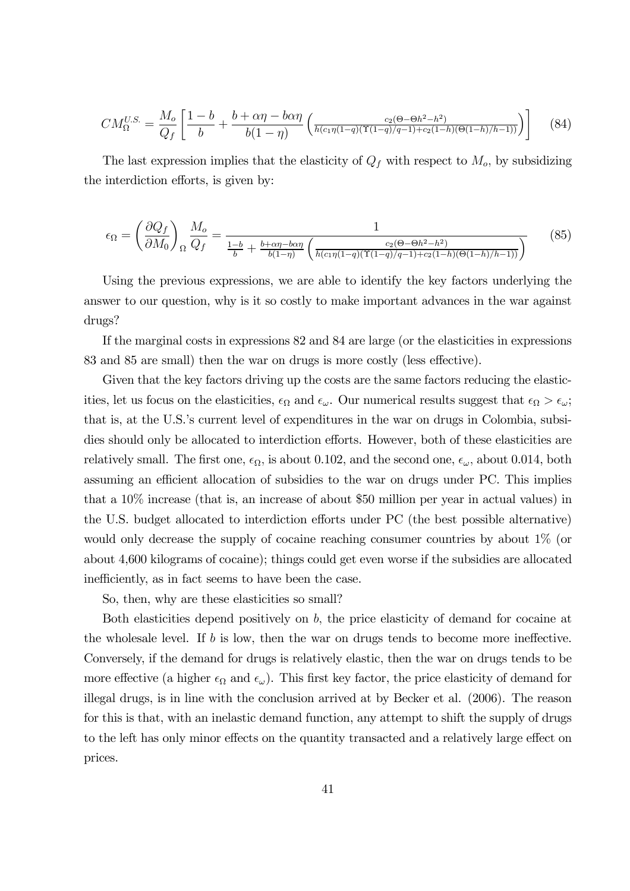$$
CM_{\Omega}^{U.S.} = \frac{M_o}{Q_f} \left[ \frac{1-b}{b} + \frac{b+\alpha\eta - b\alpha\eta}{b(1-\eta)} \left( \frac{c_2(\Theta - \Theta h^2 - h^2)}{h(c_1\eta(1-q)(\Upsilon(1-q)/q-1) + c_2(1-h)(\Theta(1-h)/h-1))} \right) \right]
$$
(84)

The last expression implies that the elasticity of  $Q_f$  with respect to  $M_o$ , by subsidizing the interdiction efforts, is given by:

$$
\epsilon_{\Omega} = \left(\frac{\partial Q_f}{\partial M_0}\right)_{\Omega} \frac{M_o}{Q_f} = \frac{1}{\frac{1-b}{b} + \frac{b+\alpha\eta - b\alpha\eta}{b(1-\eta)} \left(\frac{c_2(\Theta - \Theta h^2 - h^2)}{h(c_1\eta(1-q)(\Upsilon(1-q)/q-1) + c_2(1-h)(\Theta(1-h)/h-1))}\right)}\tag{85}
$$

Using the previous expressions, we are able to identify the key factors underlying the answer to our question, why is it so costly to make important advances in the war against drugs?

If the marginal costs in expressions 82 and 84 are large (or the elasticities in expressions 83 and 85 are small) then the war on drugs is more costly (less effective).

Given that the key factors driving up the costs are the same factors reducing the elasticities, let us focus on the elasticities,  $\epsilon_{\Omega}$  and  $\epsilon_{\omega}$ . Our numerical results suggest that  $\epsilon_{\Omega} > \epsilon_{\omega}$ ; that is, at the U.S.'s current level of expenditures in the war on drugs in Colombia, subsidies should only be allocated to interdiction efforts. However, both of these elasticities are relatively small. The first one,  $\epsilon_{\Omega}$ , is about 0.102, and the second one,  $\epsilon_{\omega}$ , about 0.014, both assuming an efficient allocation of subsidies to the war on drugs under PC. This implies that a 10% increase (that is, an increase of about \$50 million per year in actual values) in the U.S. budget allocated to interdiction efforts under PC (the best possible alternative) would only decrease the supply of cocaine reaching consumer countries by about 1% (or about 4,600 kilograms of cocaine); things could get even worse if the subsidies are allocated inefficiently, as in fact seems to have been the case.

So, then, why are these elasticities so small?

Both elasticities depend positively on  $b$ , the price elasticity of demand for cocaine at the wholesale level. If b is low, then the war on drugs tends to become more ineffective. Conversely, if the demand for drugs is relatively elastic, then the war on drugs tends to be more effective (a higher  $\epsilon_{\Omega}$  and  $\epsilon_{\omega}$ ). This first key factor, the price elasticity of demand for illegal drugs, is in line with the conclusion arrived at by Becker et al. (2006). The reason for this is that, with an inelastic demand function, any attempt to shift the supply of drugs to the left has only minor effects on the quantity transacted and a relatively large effect on prices.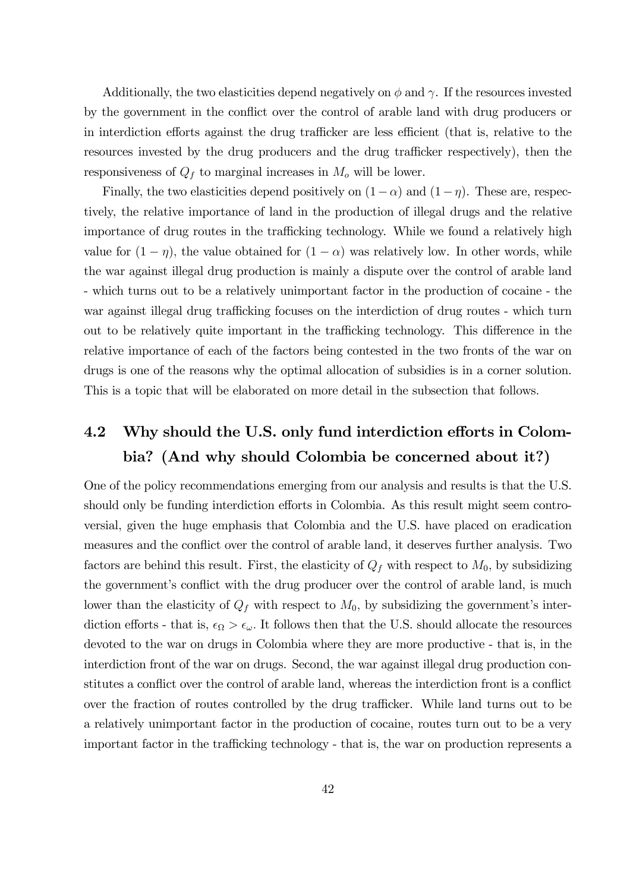Additionally, the two elasticities depend negatively on  $\phi$  and  $\gamma$ . If the resources invested by the government in the conflict over the control of arable land with drug producers or in interdiction efforts against the drug trafficker are less efficient (that is, relative to the resources invested by the drug producers and the drug trafficker respectively), then the responsiveness of  $Q_f$  to marginal increases in  $M_o$  will be lower.

Finally, the two elasticities depend positively on  $(1-\alpha)$  and  $(1-\eta)$ . These are, respectively, the relative importance of land in the production of illegal drugs and the relative importance of drug routes in the trafficking technology. While we found a relatively high value for  $(1 - \eta)$ , the value obtained for  $(1 - \alpha)$  was relatively low. In other words, while the war against illegal drug production is mainly a dispute over the control of arable land - which turns out to be a relatively unimportant factor in the production of cocaine - the war against illegal drug trafficking focuses on the interdiction of drug routes - which turn out to be relatively quite important in the trafficking technology. This difference in the relative importance of each of the factors being contested in the two fronts of the war on drugs is one of the reasons why the optimal allocation of subsidies is in a corner solution. This is a topic that will be elaborated on more detail in the subsection that follows.

# 4.2 Why should the U.S. only fund interdiction efforts in Colombia? (And why should Colombia be concerned about it?)

One of the policy recommendations emerging from our analysis and results is that the U.S. should only be funding interdiction efforts in Colombia. As this result might seem controversial, given the huge emphasis that Colombia and the U.S. have placed on eradication measures and the conflict over the control of arable land, it deserves further analysis. Two factors are behind this result. First, the elasticity of  $Q_f$  with respect to  $M_0$ , by subsidizing the government's conflict with the drug producer over the control of arable land, is much lower than the elasticity of  $Q_f$  with respect to  $M_0$ , by subsidizing the government's interdiction efforts - that is,  $\epsilon_{\Omega} > \epsilon_{\omega}$ . It follows then that the U.S. should allocate the resources devoted to the war on drugs in Colombia where they are more productive - that is, in the interdiction front of the war on drugs. Second, the war against illegal drug production constitutes a conflict over the control of arable land, whereas the interdiction front is a conflict over the fraction of routes controlled by the drug trafficker. While land turns out to be a relatively unimportant factor in the production of cocaine, routes turn out to be a very important factor in the trafficking technology - that is, the war on production represents a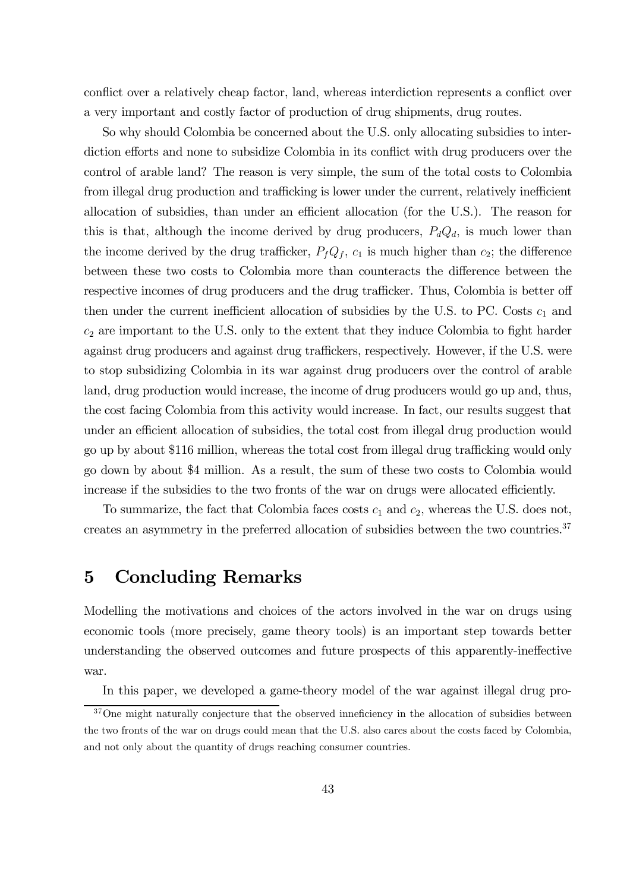conflict over a relatively cheap factor, land, whereas interdiction represents a conflict over a very important and costly factor of production of drug shipments, drug routes.

So why should Colombia be concerned about the U.S. only allocating subsidies to interdiction efforts and none to subsidize Colombia in its conflict with drug producers over the control of arable land? The reason is very simple, the sum of the total costs to Colombia from illegal drug production and trafficking is lower under the current, relatively inefficient allocation of subsidies, than under an efficient allocation (for the U.S.). The reason for this is that, although the income derived by drug producers,  $P_dQ_d$ , is much lower than the income derived by the drug trafficker,  $P_fQ_f$ ,  $c_1$  is much higher than  $c_2$ ; the difference between these two costs to Colombia more than counteracts the difference between the respective incomes of drug producers and the drug trafficker. Thus, Colombia is better off then under the current inefficient allocation of subsidies by the U.S. to PC. Costs  $c_1$  and  $c_2$  are important to the U.S. only to the extent that they induce Colombia to fight harder against drug producers and against drug traffickers, respectively. However, if the U.S. were to stop subsidizing Colombia in its war against drug producers over the control of arable land, drug production would increase, the income of drug producers would go up and, thus, the cost facing Colombia from this activity would increase. In fact, our results suggest that under an efficient allocation of subsidies, the total cost from illegal drug production would go up by about \$116 million, whereas the total cost from illegal drug trafficking would only go down by about \$4 million. As a result, the sum of these two costs to Colombia would increase if the subsidies to the two fronts of the war on drugs were allocated efficiently.

To summarize, the fact that Colombia faces costs  $c_1$  and  $c_2$ , whereas the U.S. does not, creates an asymmetry in the preferred allocation of subsidies between the two countries.37

## 5 Concluding Remarks

Modelling the motivations and choices of the actors involved in the war on drugs using economic tools (more precisely, game theory tools) is an important step towards better understanding the observed outcomes and future prospects of this apparently-ineffective war.

In this paper, we developed a game-theory model of the war against illegal drug pro-

 $37$ One might naturally conjecture that the observed inneficiency in the allocation of subsidies between the two fronts of the war on drugs could mean that the U.S. also cares about the costs faced by Colombia, and not only about the quantity of drugs reaching consumer countries.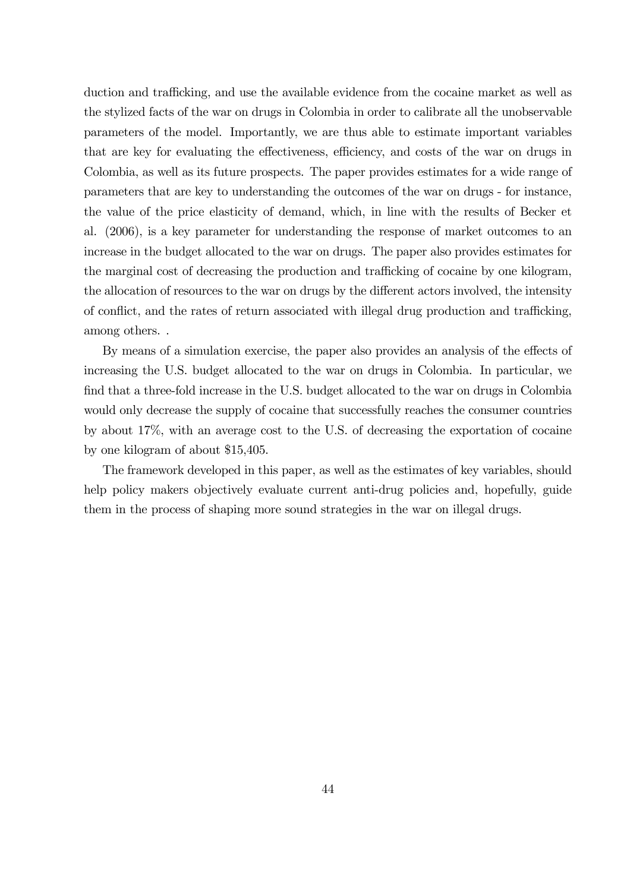duction and trafficking, and use the available evidence from the cocaine market as well as the stylized facts of the war on drugs in Colombia in order to calibrate all the unobservable parameters of the model. Importantly, we are thus able to estimate important variables that are key for evaluating the effectiveness, efficiency, and costs of the war on drugs in Colombia, as well as its future prospects. The paper provides estimates for a wide range of parameters that are key to understanding the outcomes of the war on drugs - for instance, the value of the price elasticity of demand, which, in line with the results of Becker et al. (2006), is a key parameter for understanding the response of market outcomes to an increase in the budget allocated to the war on drugs. The paper also provides estimates for the marginal cost of decreasing the production and trafficking of cocaine by one kilogram, the allocation of resources to the war on drugs by the different actors involved, the intensity of conflict, and the rates of return associated with illegal drug production and trafficking, among others. .

By means of a simulation exercise, the paper also provides an analysis of the effects of increasing the U.S. budget allocated to the war on drugs in Colombia. In particular, we find that a three-fold increase in the U.S. budget allocated to the war on drugs in Colombia would only decrease the supply of cocaine that successfully reaches the consumer countries by about 17%, with an average cost to the U.S. of decreasing the exportation of cocaine by one kilogram of about \$15,405.

The framework developed in this paper, as well as the estimates of key variables, should help policy makers objectively evaluate current anti-drug policies and, hopefully, guide them in the process of shaping more sound strategies in the war on illegal drugs.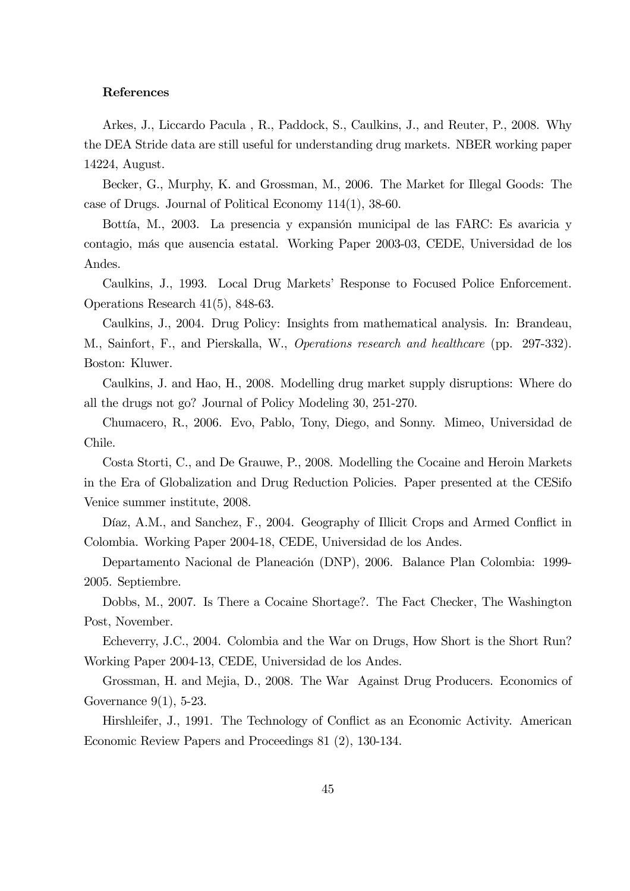#### References

Arkes, J., Liccardo Pacula , R., Paddock, S., Caulkins, J., and Reuter, P., 2008. Why the DEA Stride data are still useful for understanding drug markets. NBER working paper 14224, August.

Becker, G., Murphy, K. and Grossman, M., 2006. The Market for Illegal Goods: The case of Drugs. Journal of Political Economy 114(1), 38-60.

Bottía, M., 2003. La presencia y expansión municipal de las FARC: Es avaricia y contagio, más que ausencia estatal. Working Paper 2003-03, CEDE, Universidad de los Andes.

Caulkins, J., 1993. Local Drug Markets' Response to Focused Police Enforcement. Operations Research 41(5), 848-63.

Caulkins, J., 2004. Drug Policy: Insights from mathematical analysis. In: Brandeau, M., Sainfort, F., and Pierskalla, W., Operations research and healthcare (pp. 297-332). Boston: Kluwer.

Caulkins, J. and Hao, H., 2008. Modelling drug market supply disruptions: Where do all the drugs not go? Journal of Policy Modeling 30, 251-270.

Chumacero, R., 2006. Evo, Pablo, Tony, Diego, and Sonny. Mimeo, Universidad de Chile.

Costa Storti, C., and De Grauwe, P., 2008. Modelling the Cocaine and Heroin Markets in the Era of Globalization and Drug Reduction Policies. Paper presented at the CESifo Venice summer institute, 2008.

Díaz, A.M., and Sanchez, F., 2004. Geography of Illicit Crops and Armed Conflict in Colombia. Working Paper 2004-18, CEDE, Universidad de los Andes.

Departamento Nacional de Planeación (DNP), 2006. Balance Plan Colombia: 1999- 2005. Septiembre.

Dobbs, M., 2007. Is There a Cocaine Shortage?. The Fact Checker, The Washington Post, November.

Echeverry, J.C., 2004. Colombia and the War on Drugs, How Short is the Short Run? Working Paper 2004-13, CEDE, Universidad de los Andes.

Grossman, H. and Mejia, D., 2008. The War Against Drug Producers. Economics of Governance 9(1), 5-23.

Hirshleifer, J., 1991. The Technology of Conflict as an Economic Activity. American Economic Review Papers and Proceedings 81 (2), 130-134.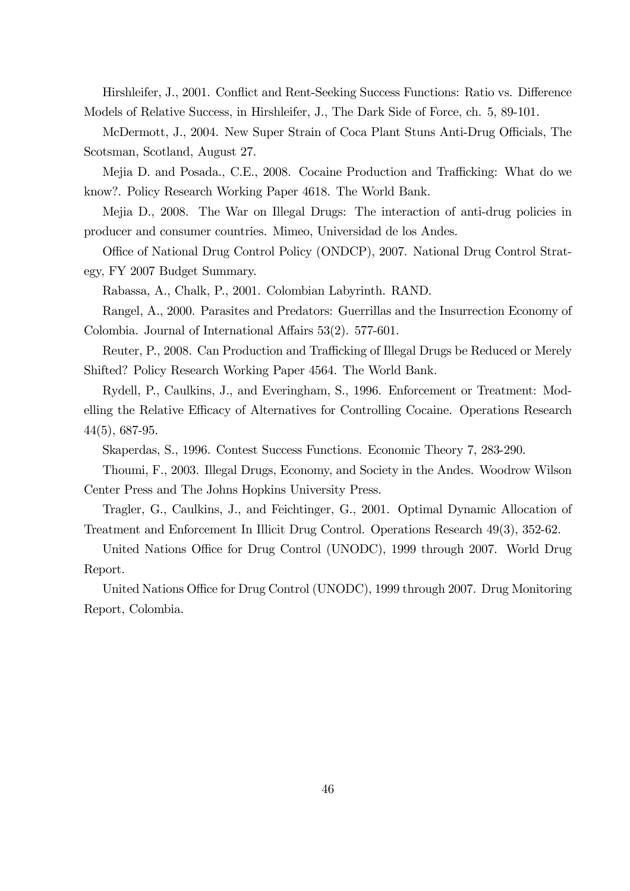Hirshleifer, J., 2001. Conflict and Rent-Seeking Success Functions: Ratio vs. Difference Models of Relative Success, in Hirshleifer, J., The Dark Side of Force, ch. 5, 89-101.

McDermott, J., 2004. New Super Strain of Coca Plant Stuns Anti-Drug Officials, The Scotsman, Scotland, August 27.

Mejia D. and Posada., C.E., 2008. Cocaine Production and Trafficking: What do we know?. Policy Research Working Paper 4618. The World Bank.

Mejia D., 2008. The War on Illegal Drugs: The interaction of anti-drug policies in producer and consumer countries. Mimeo, Universidad de los Andes.

Office of National Drug Control Policy (ONDCP), 2007. National Drug Control Strategy, FY 2007 Budget Summary.

Rabassa, A., Chalk, P., 2001. Colombian Labyrinth. RAND.

Rangel, A., 2000. Parasites and Predators: Guerrillas and the Insurrection Economy of Colombia. Journal of International Affairs 53(2). 577-601.

Reuter, P., 2008. Can Production and Trafficking of Illegal Drugs be Reduced or Merely Shifted? Policy Research Working Paper 4564. The World Bank.

Rydell, P., Caulkins, J., and Everingham, S., 1996. Enforcement or Treatment: Modelling the Relative Efficacy of Alternatives for Controlling Cocaine. Operations Research 44(5), 687-95.

Skaperdas, S., 1996. Contest Success Functions. Economic Theory 7, 283-290.

Thoumi, F., 2003. Illegal Drugs, Economy, and Society in the Andes. Woodrow Wilson Center Press and The Johns Hopkins University Press.

Tragler, G., Caulkins, J., and Feichtinger, G., 2001. Optimal Dynamic Allocation of Treatment and Enforcement In Illicit Drug Control. Operations Research 49(3), 352-62.

United Nations Office for Drug Control (UNODC), 1999 through 2007. World Drug Report.

United Nations Office for Drug Control (UNODC), 1999 through 2007. Drug Monitoring Report, Colombia.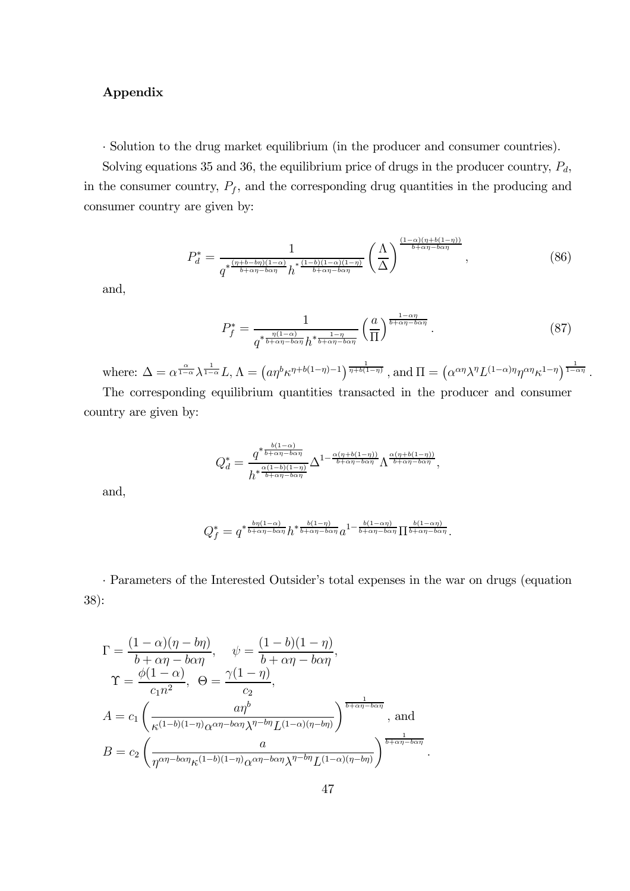### Appendix

· Solution to the drug market equilibrium (in the producer and consumer countries).

Solving equations 35 and 36, the equilibrium price of drugs in the producer country,  $P_d$ , in the consumer country,  $P_f$ , and the corresponding drug quantities in the producing and consumer country are given by:

$$
P_d^* = \frac{1}{q^{*\frac{(\eta+b-b\eta)(1-\alpha)}{b+\alpha\eta-b\alpha\eta}}h^{*\frac{(1-b)(1-\alpha)(1-\eta)}{b+\alpha\eta-b\alpha\eta}}}\left(\frac{\Lambda}{\Delta}\right)^{\frac{(1-\alpha)(\eta+b(1-\eta))}{b+\alpha\eta-b\alpha\eta}},\tag{86}
$$

and,

$$
P_f^* = \frac{1}{q^{*\frac{\eta(1-\alpha)}{b+\alpha\eta-b\alpha\eta}}h^{*\frac{1-\eta}{b+\alpha\eta-b\alpha\eta}}} \left(\frac{a}{\Pi}\right)^{\frac{1-\alpha\eta}{b+\alpha\eta-b\alpha\eta}}.
$$
(87)

where:  $\Delta = \alpha^{\frac{\alpha}{1-\alpha}}\lambda^{\frac{1}{1-\alpha}}L$ ,  $\Lambda = (a\eta^b\kappa^{\eta+b(1-\eta)-1})^{\frac{1}{\eta+b(1-\eta)}}$  , and  $\Pi = (\alpha^{\alpha\eta}\lambda^{\eta}L^{(1-\alpha)\eta}\eta^{\alpha\eta}\kappa^{1-\eta})^{\frac{1}{1-\alpha\eta}}$ .

The corresponding equilibrium quantities transacted in the producer and consumer country are given by:

$$
Q_d^* = \frac{q^{\ast \frac{b(1-\alpha)}{b+\alpha\eta-b\alpha\eta}}}{h^{\ast \frac{\alpha(1-b)(1-\eta)}{b+\alpha\eta-b\alpha\eta}}}\Delta^{1-\frac{\alpha(\eta+b(1-\eta))}{b+\alpha\eta-b\alpha\eta}}\Lambda^{\frac{\alpha(\eta+b(1-\eta))}{b+\alpha\eta-b\alpha\eta}},
$$

and,

$$
Q_f^* = q^{*\frac{b\eta(1-\alpha)}{b+\alpha\eta-b\alpha\eta}}h^{*\frac{b(1-\eta)}{b+\alpha\eta-b\alpha\eta}}a^{1-\frac{b(1-\alpha\eta)}{b+\alpha\eta-b\alpha\eta}}\Pi^{\frac{b(1-\alpha\eta)}{b+\alpha\eta-b\alpha\eta}}.
$$

· Parameters of the Interested Outsider's total expenses in the war on drugs (equation 38):

$$
\Gamma = \frac{(1-\alpha)(\eta - b\eta)}{b + \alpha\eta - b\alpha\eta}, \quad \psi = \frac{(1-b)(1-\eta)}{b + \alpha\eta - b\alpha\eta},
$$
  
\n
$$
\Upsilon = \frac{\phi(1-\alpha)}{c_1 n^2}, \quad \Theta = \frac{\gamma(1-\eta)}{c_2},
$$
  
\n
$$
A = c_1 \left(\frac{a\eta^b}{\kappa^{(1-b)(1-\eta)}\alpha^{\alpha\eta - b\alpha\eta}\lambda^{\eta - b\eta}L^{(1-\alpha)(\eta - b\eta)}}\right)^{\frac{1}{b + \alpha\eta - b\alpha\eta}},
$$
 and  
\n
$$
B = c_2 \left(\frac{a}{\eta^{\alpha\eta - b\alpha\eta}\kappa^{(1-b)(1-\eta)}\alpha^{\alpha\eta - b\alpha\eta}\lambda^{\eta - b\eta}L^{(1-\alpha)(\eta - b\eta)}}\right)^{\frac{1}{b + \alpha\eta - b\alpha\eta}}.
$$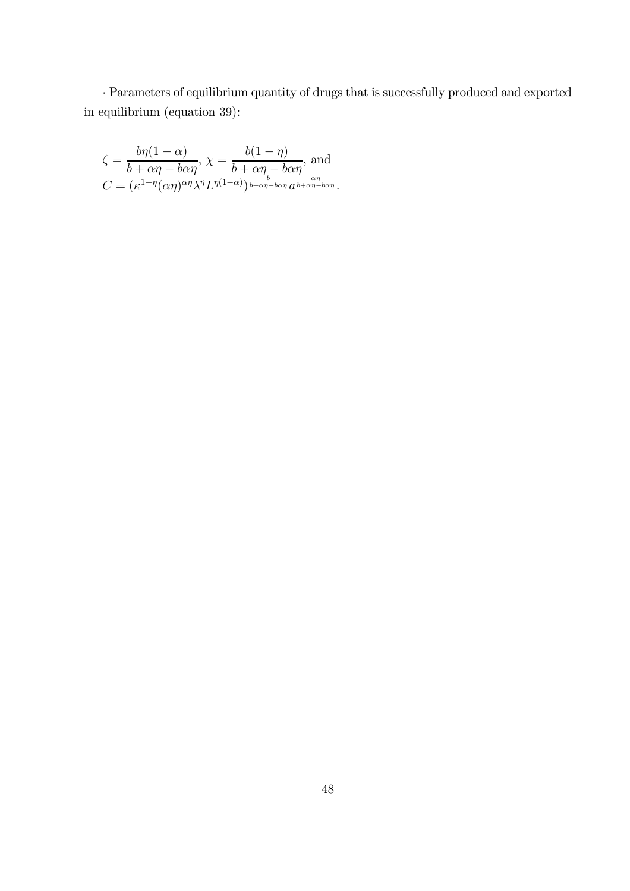· Parameters of equilibrium quantity of drugs that is successfully produced and exported in equilibrium (equation 39):

$$
\zeta = \frac{b\eta(1-\alpha)}{b+\alpha\eta-b\alpha\eta}, \ \chi = \frac{b(1-\eta)}{b+\alpha\eta-b\alpha\eta}, \text{ and}
$$

$$
C = (\kappa^{1-\eta}(\alpha\eta)^{\alpha\eta}\lambda^{\eta}L^{\eta(1-\alpha)})^{\frac{b}{b+\alpha\eta-b\alpha\eta}}a^{\frac{\alpha\eta}{b+\alpha\eta-b\alpha\eta}}.
$$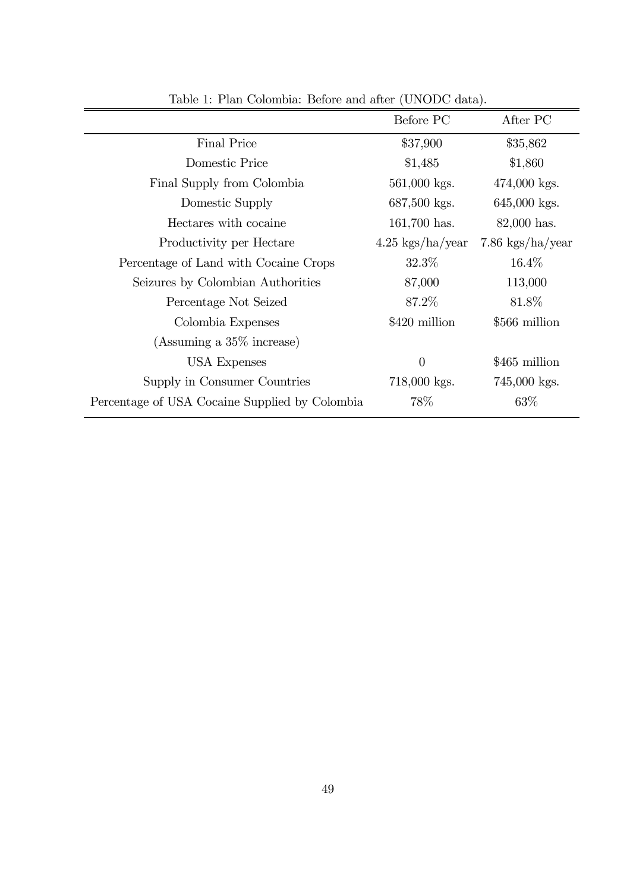| $\mathbf{r}$ and $\mathbf{r}$ . Then constructed belong and allow $\mathbf{r}$ (crips $\mathbf{r}$ and $\mathbf{r}$ ). |                            |                            |
|------------------------------------------------------------------------------------------------------------------------|----------------------------|----------------------------|
|                                                                                                                        | Before PC                  | After PC                   |
| Final Price                                                                                                            | \$37,900                   | \$35,862                   |
| Domestic Price                                                                                                         | \$1,485                    | \$1,860                    |
| Final Supply from Colombia                                                                                             | $561,000$ kgs.             | $474,000$ kgs.             |
| Domestic Supply                                                                                                        | $687,500$ kgs.             | $645,000$ kgs.             |
| Hectares with cocaine                                                                                                  | $161,700$ has.             | $82,000$ has.              |
| Productivity per Hectare                                                                                               | $4.25\ \text{kgs/ha/year}$ | $7.86 \text{ kgs/ha/year}$ |
| Percentage of Land with Cocaine Crops                                                                                  | $32.3\%$                   | $16.4\%$                   |
| Seizures by Colombian Authorities                                                                                      | 87,000                     | 113,000                    |
| Percentage Not Seized                                                                                                  | 87.2%                      | 81.8%                      |
| Colombia Expenses                                                                                                      | \$420 million              | \$566 million              |
| (Assuming a $35\%$ increase)                                                                                           |                            |                            |
| <b>USA Expenses</b>                                                                                                    | $\overline{0}$             | \$465 million              |
| Supply in Consumer Countries                                                                                           | $718,000$ kgs.             | $745,000$ kgs.             |
| Percentage of USA Cocaine Supplied by Colombia                                                                         | 78\%                       | 63%                        |

Table 1: Plan Colombia: Before and after (UNODC data).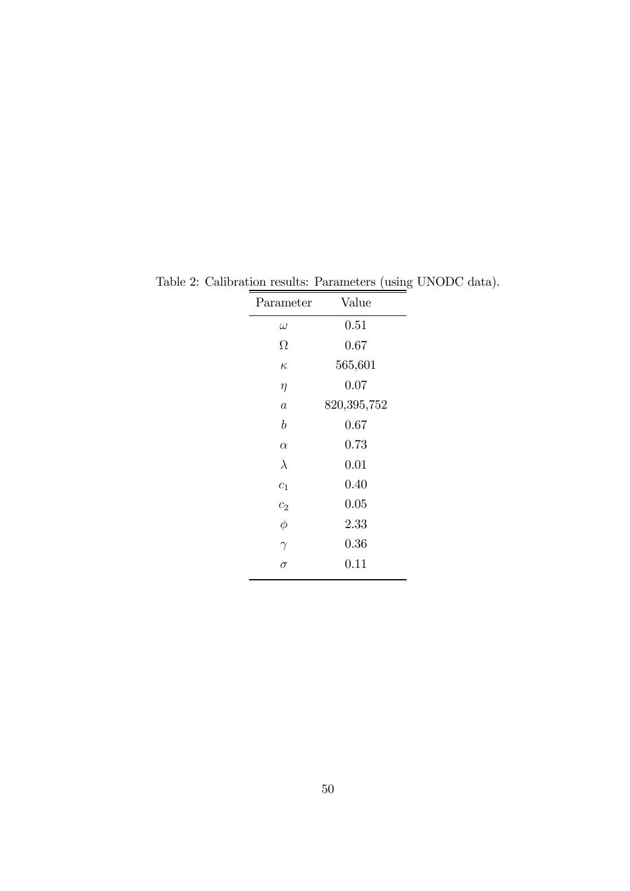| Parameter        | Value       |
|------------------|-------------|
| $\omega$         | 0.51        |
| Ω                | 0.67        |
| $\kappa$         | 565,601     |
| $\eta$           | 0.07        |
| $\boldsymbol{a}$ | 820,395,752 |
| b                | 0.67        |
| $\alpha$         | 0.73        |
| $\lambda$        | 0.01        |
| $c_{1}$          | 0.40        |
| c <sub>2</sub>   | 0.05        |
| $\phi$           | 2.33        |
| $\gamma$         | 0.36        |
| $\sigma$         | 0.11        |

Table 2: Calibration results: Parameters (using UNODC data).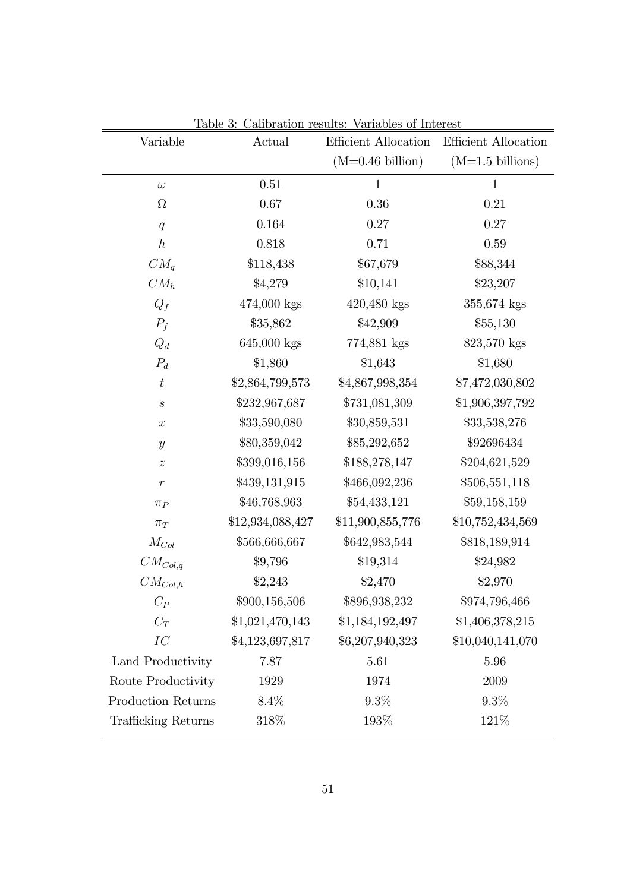| Actual           | Efficient Allocation       | Efficient Allocation |
|------------------|----------------------------|----------------------|
|                  | $(M=0.46 \text{ billion})$ | $(M=1.5)$ billions)  |
| $0.51\,$         | $\mathbf{1}$               | $\mathbf 1$          |
| 0.67             | 0.36                       | 0.21                 |
| 0.164            | 0.27                       | $0.27\,$             |
| 0.818            | 0.71                       | 0.59                 |
| \$118,438        | \$67,679                   | \$88,344             |
| \$4,279          | \$10,141                   | \$23,207             |
| 474,000 kgs      | $420,480$ kgs              | 355,674 kgs          |
| \$35,862         | \$42,909                   | \$55,130             |
| 645,000 kgs      | 774,881 kgs                | 823,570 kgs          |
| \$1,860          | \$1,643                    | \$1,680              |
| \$2,864,799,573  | \$4,867,998,354            | \$7,472,030,802      |
| \$232,967,687    | \$731,081,309              | \$1,906,397,792      |
| \$33,590,080     | \$30,859,531               | \$33,538,276         |
| \$80,359,042     | \$85,292,652               | \$92696434           |
| \$399,016,156    | \$188,278,147              | \$204,621,529        |
| \$439,131,915    | \$466,092,236              | \$506,551,118        |
| \$46,768,963     | \$54,433,121               | \$59,158,159         |
| \$12,934,088,427 | \$11,900,855,776           | \$10,752,434,569     |
| \$566,666,667    | \$642,983,544              | \$818,189,914        |
| \$9,796          | \$19,314                   | \$24,982             |
| \$2,243          | \$2,470                    | \$2,970              |
| \$900,156,506    | \$896,938,232              | \$974,796,466        |
| \$1,021,470,143  | \$1,184,192,497            | \$1,406,378,215      |
| \$4,123,697,817  | \$6,207,940,323            | \$10,040,141,070     |
| 7.87             | 5.61                       | 5.96                 |
| 1929             | 1974                       | 2009                 |
| 8.4%             | $9.3\%$                    | $9.3\%$              |
| 318\%            | 193%                       | 121\%                |
|                  |                            |                      |

Table 3: Calibration results: Variables of Interest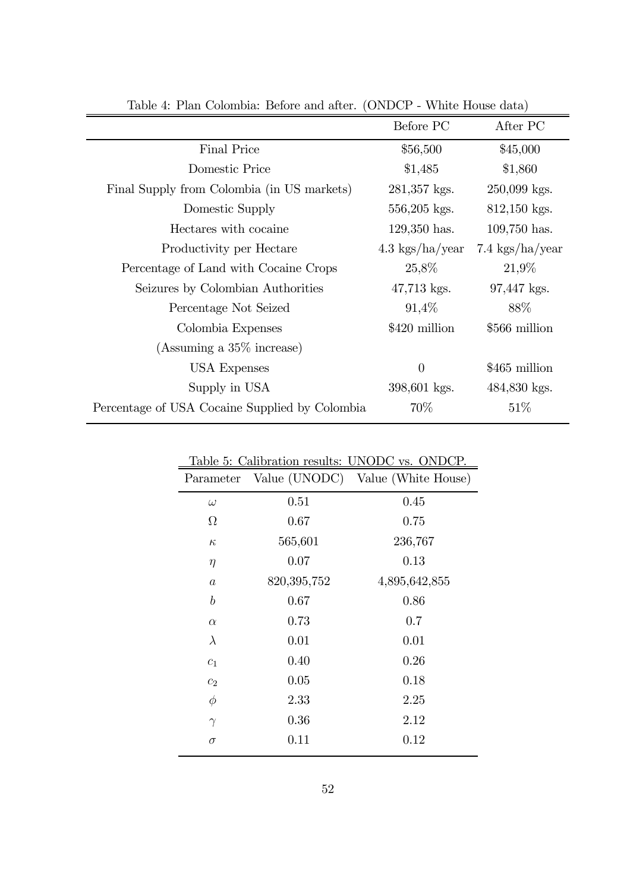| 1. I kan Colombia. Dolore and alter.           |                           |                           |
|------------------------------------------------|---------------------------|---------------------------|
|                                                | Before PC                 | After PC                  |
| <b>Final Price</b>                             | \$56,500                  | \$45,000                  |
| Domestic Price                                 | \$1,485                   | \$1,860                   |
| Final Supply from Colombia (in US markets)     | $281,357$ kgs.            | 250,099 kgs.              |
| Domestic Supply                                | $556,205$ kgs.            | $812,150$ kgs.            |
| Hectares with cocaine                          | $129,350$ has.            | $109,750$ has.            |
| Productivity per Hectare                       | $4.3\ \text{kgs/ha/year}$ | $7.4\ \text{kgs/ha/year}$ |
| Percentage of Land with Cocaine Crops          | 25,8%                     | $21,9\%$                  |
| Seizures by Colombian Authorities              | $47,713$ kgs.             | 97,447 kgs.               |
| Percentage Not Seized                          | $91,4\%$                  | 88\%                      |
| Colombia Expenses                              | \$420 million             | \$566 million             |
| (Assuming a $35\%$ increase)                   |                           |                           |
| USA Expenses                                   | $\theta$                  | \$465 million             |
| Supply in USA                                  | 398,601 kgs.              | 484,830 kgs.              |
| Percentage of USA Cocaine Supplied by Colombia | 70\%                      | 51%                       |

Table 4: Plan Colombia: Before and after. (ONDCP - White House data)

| Table 5: Calibration results: UNODC vs. ONDCP. |             |                                   |  |
|------------------------------------------------|-------------|-----------------------------------|--|
| Parameter                                      |             | Value (UNODC) Value (White House) |  |
| $\omega$                                       | 0.51        | 0.45                              |  |
| $\Omega$                                       | 0.67        | 0.75                              |  |
| $\kappa$                                       | 565,601     | 236,767                           |  |
| $\eta$                                         | 0.07        | 0.13                              |  |
| $\overline{a}$                                 | 820,395,752 | 4,895,642,855                     |  |
| $\boldsymbol{b}$                               | 0.67        | 0.86                              |  |
| $\alpha$                                       | 0.73        | 0.7                               |  |
| $\lambda$                                      | 0.01        | 0.01                              |  |
| $c_1$                                          | 0.40        | 0.26                              |  |
| c <sub>2</sub>                                 | 0.05        | 0.18                              |  |
| $\phi$                                         | 2.33        | 2.25                              |  |
| $\gamma$                                       | 0.36        | 2.12                              |  |
| $\sigma$                                       | 0.11        | 0.12                              |  |